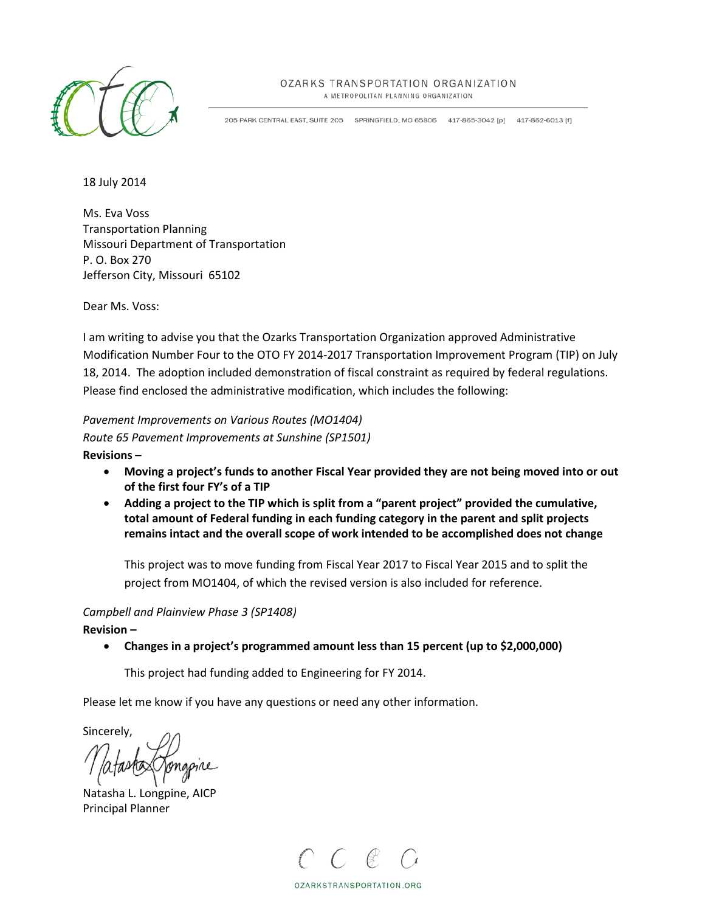

### OZARKS TRANSPORTATION ORGANIZATION

A METROPOLITAN PLANNING ORGANIZATION

205 PARK CENTRAL EAST, SUITE 205 SPRINGFIELD, MO 65806 417-865-3042 [p] 417-862-6013 [f]

18 July 2014

Ms. Eva Voss Transportation Planning Missouri Department of Transportation P. O. Box 270 Jefferson City, Missouri 65102

Dear Ms. Voss:

I am writing to advise you that the Ozarks Transportation Organization approved Administrative Modification Number Four to the OTO FY 2014-2017 Transportation Improvement Program (TIP) on July 18, 2014. The adoption included demonstration of fiscal constraint as required by federal regulations. Please find enclosed the administrative modification, which includes the following:

*Pavement Improvements on Various Routes (MO1404) Route 65 Pavement Improvements at Sunshine (SP1501)* **Revisions –** 

- **Moving a project's funds to another Fiscal Year provided they are not being moved into or out of the first four FY's of a TIP**
- **Adding a project to the TIP which is split from a "parent project" provided the cumulative, total amount of Federal funding in each funding category in the parent and split projects remains intact and the overall scope of work intended to be accomplished does not change**

This project was to move funding from Fiscal Year 2017 to Fiscal Year 2015 and to split the project from MO1404, of which the revised version is also included for reference.

### *Campbell and Plainview Phase 3 (SP1408)*

**Revision –** 

• **Changes in a project's programmed amount less than 15 percent (up to \$2,000,000)**

This project had funding added to Engineering for FY 2014.

Please let me know if you have any questions or need any other information.

Sincerely,

Natasha L. Longpine, AICP Principal Planner



OZARKSTRANSPORTATION.ORG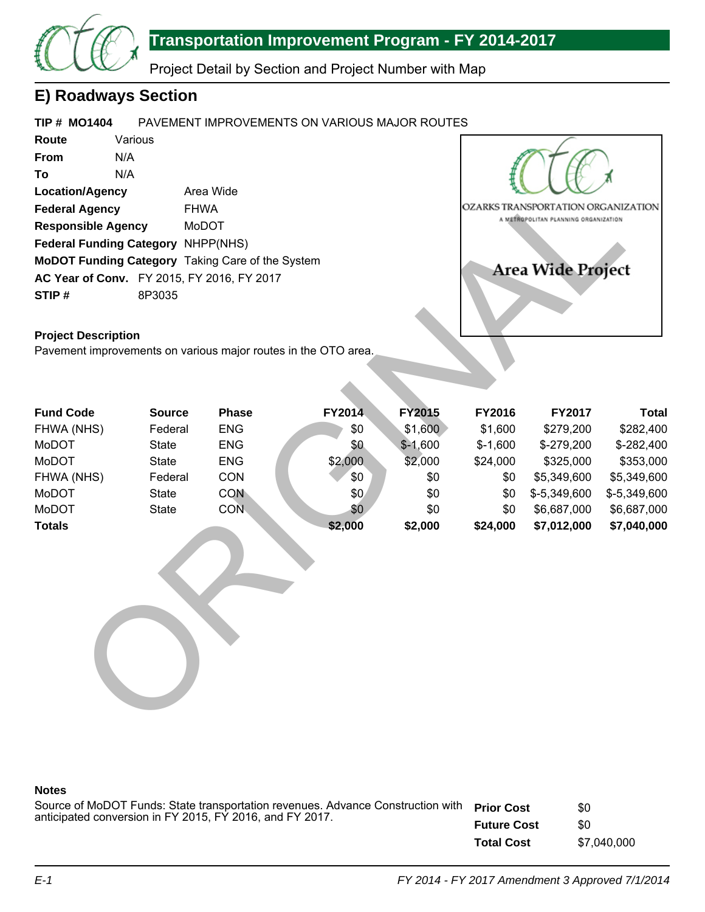

Project Detail by Section and Project Number with Map

# **E) Roadways Section**

#### **TIP # MO1404** PAVEMENT IMPROVEMENTS ON VARIOUS MAJOR ROUTES

**Route From To Location/Agency Federal Agency Responsible Agency Federal Funding Category** NHPP(NHS) **MoDOT Funding Category** Taking Care of the System **AC Year of Conv.** FY 2015, FY 2016, FY 2017 **STIP #** Various N/A N/A Area Wide FHWA MoDOT 8P3035



### **Project Description**

| <b>Location/Agency</b>                                         | Area Wide     |            | OZARKS TRANSPORTATION ORGANIZATION |               |           |                                      |              |
|----------------------------------------------------------------|---------------|------------|------------------------------------|---------------|-----------|--------------------------------------|--------------|
| <b>Federal Agency</b>                                          | <b>FHWA</b>   |            |                                    |               |           |                                      |              |
| <b>Responsible Agency</b>                                      |               | MoDOT      |                                    |               |           | A METROPOLITAN PLANNING ORGANIZATION |              |
| Federal Funding Category NHPP(NHS)                             |               |            |                                    |               |           |                                      |              |
| MoDOT Funding Category Taking Care of the System               |               |            |                                    |               |           |                                      |              |
| AC Year of Conv. FY 2015, FY 2016, FY 2017                     |               |            |                                    |               |           | <b>Area Wide Project</b>             |              |
| STIP#                                                          | 8P3035        |            |                                    |               |           |                                      |              |
|                                                                |               |            |                                    |               |           |                                      |              |
| <b>Project Description</b>                                     |               |            |                                    |               |           |                                      |              |
| Pavement improvements on various major routes in the OTO area. |               |            |                                    |               |           |                                      |              |
|                                                                |               |            |                                    |               |           |                                      |              |
|                                                                |               |            |                                    |               |           |                                      |              |
|                                                                |               |            |                                    |               |           |                                      |              |
| <b>Fund Code</b>                                               | <b>Source</b> | Phase      | FY2014                             | <b>FY2015</b> | FY2016    | FY2017                               | <b>Total</b> |
| FHWA (NHS)                                                     | Federal       | <b>ENG</b> | \$0                                | \$1,600       | \$1,600   | \$279,200                            | \$282,400    |
| MoDOT                                                          | <b>State</b>  | <b>ENG</b> | \$0                                | $$-1,600$     | $$-1,600$ | \$-279,200                           | \$-282,400   |
| MoDOT                                                          | <b>State</b>  | <b>ENG</b> | \$2,000                            | \$2,000       | \$24,000  | \$325,000                            | \$353,000    |
| FHWA (NHS)                                                     | Federal       | CON        | \$0                                | \$0           | \$0       | \$5,349,600                          | \$5,349,600  |
| MoDOT                                                          | <b>State</b>  | <b>CON</b> | \$0                                | \$0           | \$0       | \$-5,349,600                         | \$-5,349,600 |
| MoDOT                                                          | <b>State</b>  | <b>CON</b> | \$0                                | \$0           | \$0       | \$6,687,000                          | \$6,687,000  |
| <b>Totals</b>                                                  |               |            | \$2,000                            | \$2,000       | \$24,000  | \$7,012,000                          | \$7,040,000  |
|                                                                |               |            |                                    |               |           |                                      |              |
|                                                                |               |            |                                    |               |           |                                      |              |
|                                                                |               |            |                                    |               |           |                                      |              |
|                                                                |               |            |                                    |               |           |                                      |              |
|                                                                |               |            |                                    |               |           |                                      |              |
|                                                                |               |            |                                    |               |           |                                      |              |
|                                                                |               |            |                                    |               |           |                                      |              |
|                                                                |               |            |                                    |               |           |                                      |              |
|                                                                |               |            |                                    |               |           |                                      |              |
|                                                                |               |            |                                    |               |           |                                      |              |
|                                                                |               |            |                                    |               |           |                                      |              |
|                                                                |               |            |                                    |               |           |                                      |              |

### **Notes**

| Source of MoDOT Funds: State transportation revenues. Advance Construction with Prior Cost |                    | \$0         |
|--------------------------------------------------------------------------------------------|--------------------|-------------|
| anticipated conversion in FY 2015, FY 2016, and FY 2017.                                   | <b>Future Cost</b> | \$0         |
|                                                                                            | <b>Total Cost</b>  | \$7.040.000 |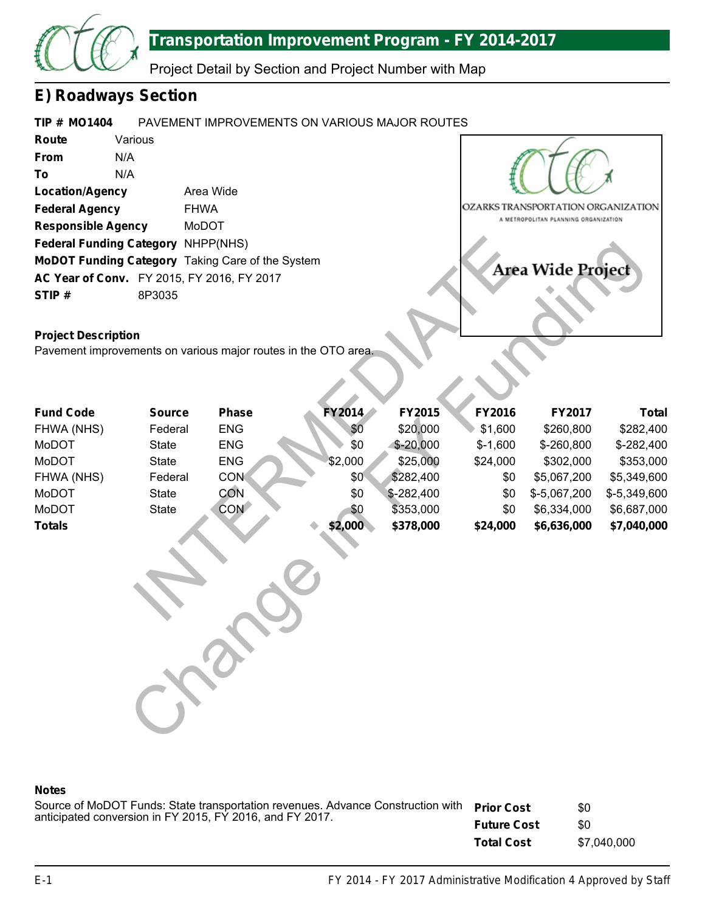

Project Detail by Section and Project Number with Map

## **E) Roadways Section**

#### **TIP # MO1404** PAVEMENT IMPROVEMENTS ON VARIOUS MAJOR ROUTES

**Route From To Location/Agency Federal Agency Responsible Agency Federal Funding Category** NHPP(NHS) **MoDOT Funding Category** Taking Care of the System **AC Year of Conv.** FY 2015, FY 2016, FY 2017 **STIP #** Various N/A N/A Area Wide FHWA MoDOT 8P3035



## **Project Description**

| Federal Funding Category NHPP(NHS)                             |               |            |                   |             |           |              |              |  |  |
|----------------------------------------------------------------|---------------|------------|-------------------|-------------|-----------|--------------|--------------|--|--|
| MoDOT Funding Category Taking Care of the System               |               |            |                   |             |           |              |              |  |  |
| AC Year of Conv. FY 2015, FY 2016, FY 2017                     |               |            | Area Wide Project |             |           |              |              |  |  |
| STIP#                                                          | 8P3035        |            |                   |             |           |              |              |  |  |
|                                                                |               |            |                   |             |           |              |              |  |  |
| <b>Project Description</b>                                     |               |            |                   |             |           |              |              |  |  |
| Pavement improvements on various major routes in the OTO area. |               |            |                   |             |           |              |              |  |  |
|                                                                |               |            |                   |             |           |              |              |  |  |
|                                                                |               |            |                   |             |           |              |              |  |  |
|                                                                |               |            |                   |             |           |              |              |  |  |
| <b>Fund Code</b>                                               | <b>Source</b> | Phase      | FY2014            | FY2015      | FY2016    | FY2017       | <b>Total</b> |  |  |
| FHWA (NHS)                                                     | Federal       | <b>ENG</b> | \$0               | \$20,000    | \$1,600   | \$260,800    | \$282,400    |  |  |
| MoDOT                                                          | <b>State</b>  | <b>ENG</b> | \$0               | $$ -20,000$ | $$-1,600$ | \$-260,800   | \$-282,400   |  |  |
| MoDOT                                                          | <b>State</b>  | <b>ENG</b> | \$2,000           | \$25,000    | \$24,000  | \$302,000    | \$353,000    |  |  |
| FHWA (NHS)                                                     | Federal       | <b>CON</b> | \$0               | \$282,400   | \$0       | \$5,067,200  | \$5,349,600  |  |  |
| MoDOT                                                          | <b>State</b>  | CON        | \$0               | $$-282,400$ | \$0       | \$-5,067,200 | \$-5,349,600 |  |  |
| MoDOT                                                          | <b>State</b>  | <b>CON</b> | \$0               | \$353,000   | \$0       | \$6,334,000  | \$6,687,000  |  |  |
| <b>Totals</b>                                                  |               |            | \$2,000           | \$378,000   | \$24,000  | \$6,636,000  | \$7,040,000  |  |  |
|                                                                |               |            |                   |             |           |              |              |  |  |
|                                                                |               |            |                   |             |           |              |              |  |  |
|                                                                |               |            |                   |             |           |              |              |  |  |
|                                                                |               |            |                   |             |           |              |              |  |  |
|                                                                |               |            |                   |             |           |              |              |  |  |
|                                                                |               |            |                   |             |           |              |              |  |  |

### **Notes**

Source of MoDOT Funds: State transportation revenues. Advance Construction with **Prior Cost Future Cost Total Cost** anticipated conversion in FY 2015, FY 2016, and FY 2017. \$0 \$0 \$7,040,000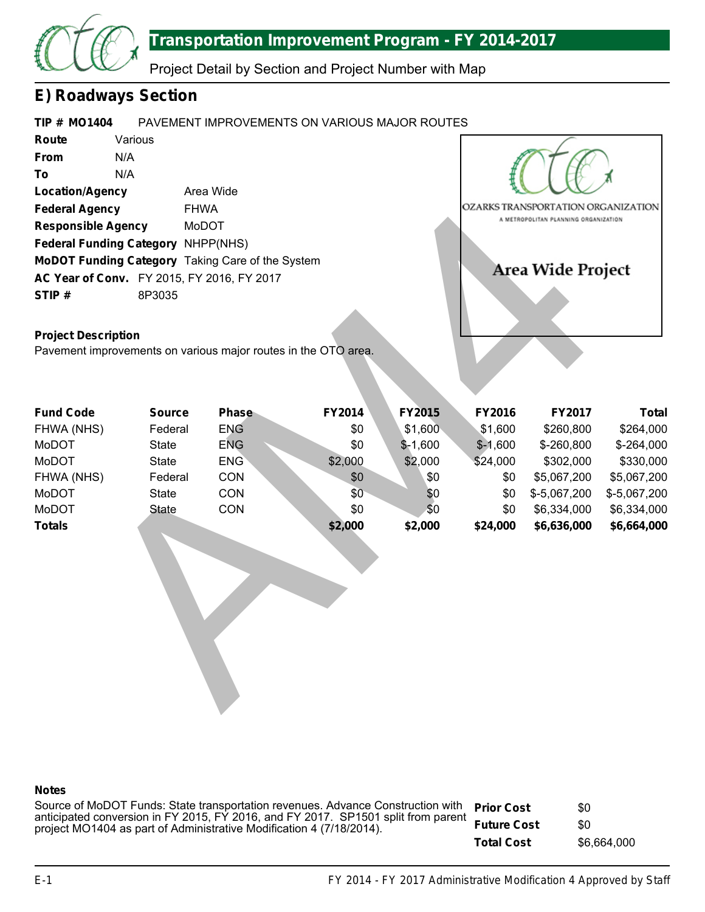

Project Detail by Section and Project Number with Map

## **E) Roadways Section**

#### **TIP # MO1404** PAVEMENT IMPROVEMENTS ON VARIOUS MAJOR ROUTES

**Route From To Location/Agency Federal Agency Responsible Agency Federal Funding Category** NHPP(NHS) **MoDOT Funding Category** Taking Care of the System **AC Year of Conv.** FY 2015, FY 2016, FY 2017 **STIP #** Various N/A N/A Area Wide FHWA MoDOT 8P3035



### **Project Description**

| <b>Federal Agency</b><br><b>FHWA</b><br><b>Responsible Agency</b><br>MoDOT<br><b>Federal Funding Category</b><br>NHPP(NHS)<br>MoDOT Funding Category Taking Care of the System<br>AC Year of Conv. FY 2015, FY 2016, FY 2017<br>8P3035<br>STIP#<br><b>Project Description</b><br>Pavement improvements on various major routes in the OTO area. |               |            |         |           |           | OZARKS TRANSPORTATION ORGANIZATION<br>A METROPOLITAN PLANNING ORGANIZATION<br><b>Area Wide Project</b> |              |
|-------------------------------------------------------------------------------------------------------------------------------------------------------------------------------------------------------------------------------------------------------------------------------------------------------------------------------------------------|---------------|------------|---------|-----------|-----------|--------------------------------------------------------------------------------------------------------|--------------|
| <b>Fund Code</b>                                                                                                                                                                                                                                                                                                                                | <b>Source</b> | Phase      | FY2014  | FY2015    | FY2016    | <b>FY2017</b>                                                                                          | <b>Total</b> |
| FHWA (NHS)                                                                                                                                                                                                                                                                                                                                      | Federal       | <b>ENG</b> | \$0     | \$1,600   | \$1,600   | \$260,800                                                                                              | \$264,000    |
| MoDOT                                                                                                                                                                                                                                                                                                                                           | <b>State</b>  | <b>ENG</b> | \$0     | $$-1,600$ | $$-1,600$ | \$-260,800                                                                                             | $$ -264,000$ |
| <b>MoDOT</b>                                                                                                                                                                                                                                                                                                                                    | <b>State</b>  | <b>ENG</b> | \$2,000 | \$2,000   | \$24,000  | \$302,000                                                                                              | \$330,000    |
| FHWA (NHS)                                                                                                                                                                                                                                                                                                                                      | Federal       | CON        | \$0     | \$0       | \$0       | \$5,067,200                                                                                            | \$5,067,200  |
| MoDOT                                                                                                                                                                                                                                                                                                                                           | <b>State</b>  | CON        | \$0     | \$0       | \$0       | \$-5,067,200                                                                                           | \$-5,067,200 |
| <b>MoDOT</b>                                                                                                                                                                                                                                                                                                                                    | <b>State</b>  | CON        | \$0     | \$0       | \$0       | \$6,334,000                                                                                            | \$6,334,000  |
| <b>Totals</b>                                                                                                                                                                                                                                                                                                                                   |               |            | \$2,000 | \$2,000   | \$24,000  | \$6,636,000                                                                                            | \$6,664,000  |

### **Notes**

**Prior Cost Future Cost Total Cost** Source of MoDOT Funds: State transportation revenues. Advance Construction with anticipated conversion in FY 2015, FY 2016, and FY 2017. SP1501 split from parent project MO1404 as part of Administrative Modification 4 (7/18/2014). \$0 \$0 \$6,664,000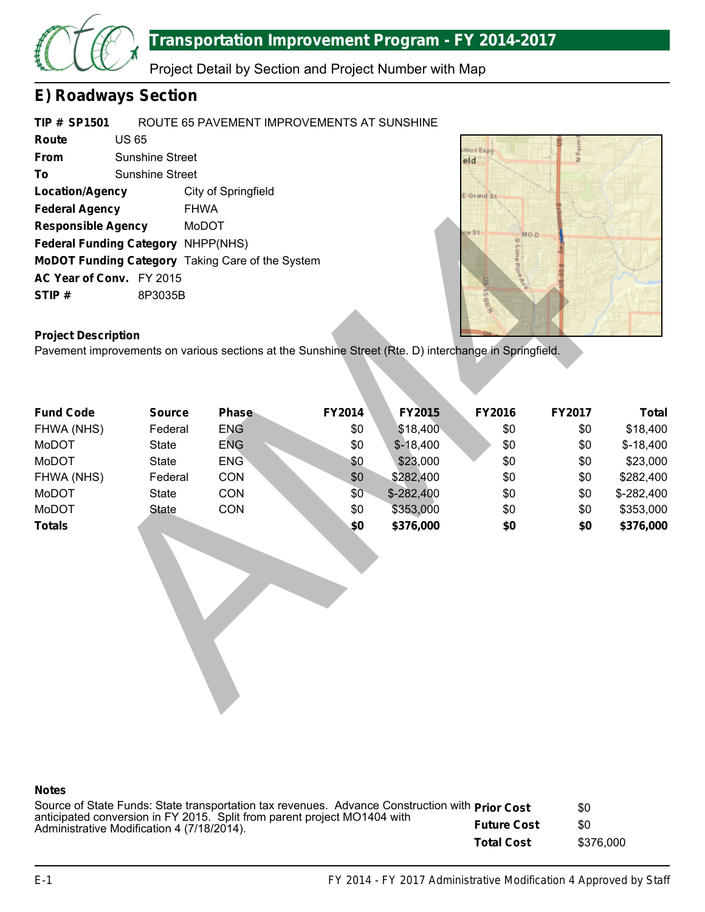

Project Detail by Section and Project Number with Map

# **E) Roadways Section**

| <b>TIP # SP1501</b>                       |                        | ROUTE 65 PAVEMENT IMPROVEMENTS AT SUNSHINE              |
|-------------------------------------------|------------------------|---------------------------------------------------------|
| Route                                     | <b>US 65</b>           |                                                         |
| <b>From</b>                               | <b>Sunshine Street</b> |                                                         |
| To                                        | <b>Sunshine Street</b> |                                                         |
| <b>Location/Agency</b>                    |                        | City of Springfield                                     |
| <b>Federal Agency</b>                     |                        | <b>FHWA</b>                                             |
| <b>Responsible Agency</b>                 |                        | MoDOT                                                   |
| <b>Federal Funding Category NHPP(NHS)</b> |                        |                                                         |
|                                           |                        | <b>MoDOT Funding Category Taking Care of the System</b> |
| AC Year of Conv. FY 2015                  |                        |                                                         |
| STIP#                                     | 8P3035B                |                                                         |



### **Project Description**

| <b>Federal Agency</b>                                                                                                               | <b>FHWA</b>   |              |        |             |                  |        |              |
|-------------------------------------------------------------------------------------------------------------------------------------|---------------|--------------|--------|-------------|------------------|--------|--------------|
| <b>Responsible Agency</b>                                                                                                           |               | MoDOT        |        |             | ve St            |        |              |
| <b>Federal Funding Category</b>                                                                                                     |               | NHPP(NHS)    |        |             | MO-D<br>$\omega$ |        |              |
| MoDOT Funding Category Taking Care of the System                                                                                    |               |              |        |             |                  |        |              |
| AC Year of Conv. FY 2015                                                                                                            |               |              |        |             | Proe             |        |              |
| STIP#                                                                                                                               | 8P3035B       |              |        |             |                  |        |              |
|                                                                                                                                     |               |              |        |             | <b>S-BRA</b>     |        |              |
|                                                                                                                                     |               |              |        |             |                  |        |              |
| <b>Project Description</b><br>Pavement improvements on various sections at the Sunshine Street (Rte. D) interchange in Springfield. |               |              |        |             |                  |        |              |
|                                                                                                                                     |               |              |        |             |                  |        |              |
|                                                                                                                                     |               |              |        |             |                  |        |              |
|                                                                                                                                     |               |              |        |             |                  |        |              |
| <b>Fund Code</b>                                                                                                                    | <b>Source</b> | <b>Phase</b> | FY2014 | FY2015      | FY2016           | FY2017 | <b>Total</b> |
| FHWA (NHS)                                                                                                                          | Federal       | <b>ENG</b>   | \$0    | \$18,400    | \$0              | \$0    | \$18,400     |
| MoDOT                                                                                                                               | <b>State</b>  | <b>ENG</b>   | \$0    | $$-18,400$  | \$0              | \$0    | $$-18,400$   |
| MoDOT                                                                                                                               | <b>State</b>  | <b>ENG</b>   | \$0    | \$23,000    | \$0              | \$0    | \$23,000     |
| FHWA (NHS)                                                                                                                          | Federal       | CON          | \$0    | \$282,400   | \$0              | \$0    | \$282,400    |
| MoDOT                                                                                                                               | <b>State</b>  | CON          | \$0    | $$-282,400$ | \$0              | \$0    | \$-282,400   |
| MoDOT                                                                                                                               | <b>State</b>  | CON          | \$0    | \$353,000   | \$0              | \$0    | \$353,000    |
| <b>Totals</b>                                                                                                                       |               |              | \$0    | \$376,000   | \$0              | \$0    | \$376,000    |
|                                                                                                                                     |               |              |        |             |                  |        |              |
|                                                                                                                                     |               |              |        |             |                  |        |              |
|                                                                                                                                     |               |              |        |             |                  |        |              |
|                                                                                                                                     |               |              |        |             |                  |        |              |
|                                                                                                                                     |               |              |        |             |                  |        |              |
|                                                                                                                                     |               |              |        |             |                  |        |              |
|                                                                                                                                     |               |              |        |             |                  |        |              |
|                                                                                                                                     |               |              |        |             |                  |        |              |
|                                                                                                                                     |               |              |        |             |                  |        |              |
|                                                                                                                                     |               |              |        |             |                  |        |              |
|                                                                                                                                     |               |              |        |             |                  |        |              |

### **Notes**

| Source of State Funds: State transportation tax revenues. Advance Construction with <b>Prior Cost</b>                  |                    | \$0       |
|------------------------------------------------------------------------------------------------------------------------|--------------------|-----------|
| anticipated conversion in FY 2015. Split from parent project MO1404 with<br>Administrative Modification 4 (7/18/2014). | <b>Future Cost</b> | \$0       |
|                                                                                                                        | <b>Total Cost</b>  | \$376,000 |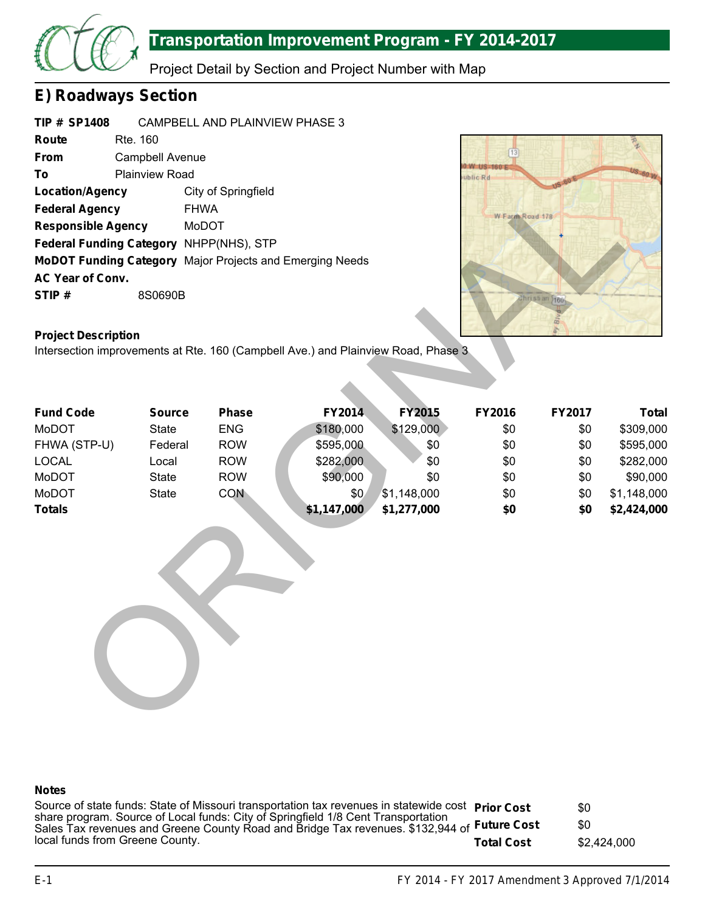

Project Detail by Section and Project Number with Map

## **E) Roadways Section**

| <b>TIP # SP1408</b>       |                        | CAMPBELL AND PLAINVIEW PHASE 3                                  |  |  |  |  |
|---------------------------|------------------------|-----------------------------------------------------------------|--|--|--|--|
| Route                     | Rte. 160               |                                                                 |  |  |  |  |
| From                      | <b>Campbell Avenue</b> |                                                                 |  |  |  |  |
| То                        | <b>Plainview Road</b>  |                                                                 |  |  |  |  |
| <b>Location/Agency</b>    |                        | City of Springfield                                             |  |  |  |  |
| <b>Federal Agency</b>     |                        | <b>FHWA</b>                                                     |  |  |  |  |
| <b>Responsible Agency</b> |                        | MoDOT                                                           |  |  |  |  |
|                           |                        | <b>Federal Funding Category NHPP(NHS), STP</b>                  |  |  |  |  |
|                           |                        | <b>MoDOT Funding Category</b> Major Projects and Emerging Needs |  |  |  |  |
| <b>AC Year of Conv.</b>   |                        |                                                                 |  |  |  |  |
| STIP#                     | 8S0690B                |                                                                 |  |  |  |  |



## **Project Description**

| <b>Location/Agency</b>                                                            |                         | City of Springfield      |                        |                  |                 |               |                        |
|-----------------------------------------------------------------------------------|-------------------------|--------------------------|------------------------|------------------|-----------------|---------------|------------------------|
| <b>Federal Agency</b>                                                             | <b>FHWA</b>             |                          |                        |                  | W Farm Road 178 |               |                        |
| <b>Responsible Agency</b>                                                         | MoDOT                   |                          |                        |                  |                 |               |                        |
| Federal Funding Category NHPP(NHS), STP                                           |                         |                          |                        |                  |                 |               |                        |
| MoDOT Funding Category Major Projects and Emerging Needs                          |                         |                          |                        |                  |                 |               |                        |
| AC Year of Conv.                                                                  |                         |                          |                        |                  |                 |               |                        |
| STIP#                                                                             | 8S0690B                 |                          |                        |                  |                 | Christian 166 |                        |
| <b>Project Description</b>                                                        |                         |                          |                        |                  |                 |               |                        |
| Intersection improvements at Rte. 160 (Campbell Ave.) and Plainview Road, Phase 3 |                         |                          |                        |                  |                 |               |                        |
|                                                                                   |                         |                          |                        |                  |                 |               |                        |
|                                                                                   |                         |                          |                        |                  |                 |               |                        |
|                                                                                   |                         |                          |                        |                  |                 |               |                        |
| <b>Fund Code</b><br>MoDOT                                                         | <b>Source</b>           | Phase                    | FY2014                 | <b>FY2015</b>    | FY2016          | FY2017        | <b>Total</b>           |
| FHWA (STP-U)                                                                      | <b>State</b><br>Federal | <b>ENG</b><br><b>ROW</b> | \$180,000<br>\$595,000 | \$129,000<br>\$0 | \$0<br>\$0      | \$0<br>\$0    | \$309,000<br>\$595,000 |
| <b>LOCAL</b>                                                                      | Local                   | <b>ROW</b>               | \$282,000              | \$0              | \$0             | \$0           | \$282,000              |
| MoDOT                                                                             | <b>State</b>            | <b>ROW</b>               | \$90,000               | \$0              | \$0             | \$0           | \$90,000               |
| <b>MoDOT</b>                                                                      | <b>State</b>            | <b>CON</b>               | \$0                    | \$1,148,000      | \$0             | \$0           | \$1,148,000            |
| <b>Totals</b>                                                                     |                         |                          | \$1,147,000            | \$1,277,000      | \$0             | \$0           | \$2,424,000            |
|                                                                                   |                         |                          |                        |                  |                 |               |                        |
|                                                                                   |                         |                          |                        |                  |                 |               |                        |

### **Notes**

**Prior Cost Future Cost Total Cost** Source of state funds: State of Missouri transportation tax revenues in statewide cost share program. Source of Local funds: City of Springfield 1/8 Cent Transportation Sales Tax revenues and Greene County Road and Bridge Tax revenues. \$132,944 of local funds from Greene County. \$0 \$0 \$2,424,000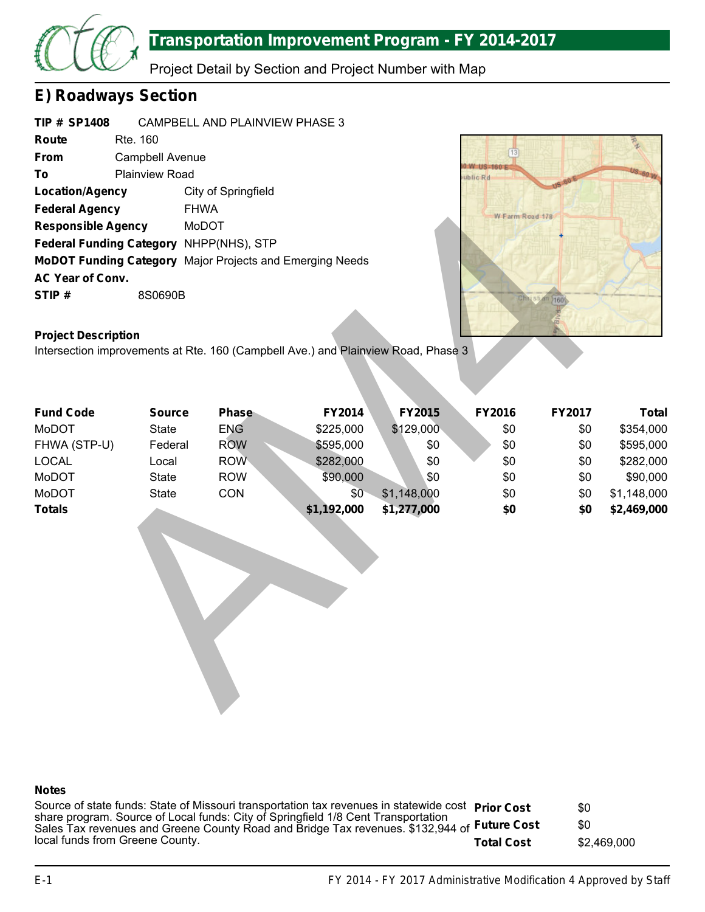

Project Detail by Section and Project Number with Map

## **E) Roadways Section**

| <b>TIP # SP1408</b>       |                        | CAMPBELL AND PLAINVIEW PHASE 3                                  |  |  |  |  |
|---------------------------|------------------------|-----------------------------------------------------------------|--|--|--|--|
| Route                     | Rte. 160               |                                                                 |  |  |  |  |
| From                      | <b>Campbell Avenue</b> |                                                                 |  |  |  |  |
| То                        | <b>Plainview Road</b>  |                                                                 |  |  |  |  |
| <b>Location/Agency</b>    |                        | City of Springfield                                             |  |  |  |  |
| <b>Federal Agency</b>     |                        | <b>FHWA</b>                                                     |  |  |  |  |
| <b>Responsible Agency</b> |                        | MoDOT                                                           |  |  |  |  |
|                           |                        | <b>Federal Funding Category NHPP(NHS), STP</b>                  |  |  |  |  |
|                           |                        | <b>MoDOT Funding Category</b> Major Projects and Emerging Needs |  |  |  |  |
| <b>AC Year of Conv.</b>   |                        |                                                                 |  |  |  |  |
| STIP#                     | 8S0690B                |                                                                 |  |  |  |  |



### **Project Description**

| <b>Federal Agency</b>                                                                                           | <b>FHWA</b>   |            |             |               | W Farm Road 178 |               |              |
|-----------------------------------------------------------------------------------------------------------------|---------------|------------|-------------|---------------|-----------------|---------------|--------------|
| <b>Responsible Agency</b>                                                                                       |               | MoDOT      |             |               |                 |               |              |
| Federal Funding Category NHPP(NHS), STP                                                                         |               |            |             |               |                 |               |              |
| MoDOT Funding Category Major Projects and Emerging Needs                                                        |               |            |             |               |                 |               |              |
| AC Year of Conv.                                                                                                |               |            |             |               |                 |               |              |
| STIP#                                                                                                           | 8S0690B       |            |             |               | Christi         | $n \nmid 160$ |              |
|                                                                                                                 |               |            |             |               |                 |               |              |
|                                                                                                                 |               |            |             |               |                 |               |              |
| <b>Project Description</b><br>Intersection improvements at Rte. 160 (Campbell Ave.) and Plainview Road, Phase 3 |               |            |             |               |                 |               |              |
|                                                                                                                 |               |            |             |               |                 |               |              |
|                                                                                                                 |               |            |             |               |                 |               |              |
|                                                                                                                 |               |            |             |               |                 |               |              |
| <b>Fund Code</b>                                                                                                | <b>Source</b> | Phase      | FY2014      | <b>FY2015</b> | FY2016          | FY2017        | <b>Total</b> |
| MoDOT                                                                                                           | <b>State</b>  | <b>ENG</b> | \$225,000   | \$129,000     | \$0             | \$0           | \$354,000    |
| FHWA (STP-U)                                                                                                    | Federal       | <b>ROW</b> | \$595,000   | \$0           | \$0             | \$0           | \$595,000    |
| <b>LOCAL</b>                                                                                                    | Local         | <b>ROW</b> | \$282,000   | \$0           | \$0             | \$0           | \$282,000    |
| MoDOT                                                                                                           | <b>State</b>  | <b>ROW</b> | \$90,000    | \$0           | \$0             | \$0           | \$90,000     |
| MoDOT                                                                                                           | <b>State</b>  | CON        | \$0         | \$1,148,000   | \$0             | \$0           | \$1,148,000  |
| <b>Totals</b>                                                                                                   |               |            | \$1,192,000 | \$1,277,000   | \$0             | \$0           | \$2,469,000  |
|                                                                                                                 |               |            |             |               |                 |               |              |
|                                                                                                                 |               |            |             |               |                 |               |              |
|                                                                                                                 |               |            |             |               |                 |               |              |
|                                                                                                                 |               |            |             |               |                 |               |              |
|                                                                                                                 |               |            |             |               |                 |               |              |
|                                                                                                                 |               |            |             |               |                 |               |              |
|                                                                                                                 |               |            |             |               |                 |               |              |
|                                                                                                                 |               |            |             |               |                 |               |              |
|                                                                                                                 |               |            |             |               |                 |               |              |
|                                                                                                                 |               |            |             |               |                 |               |              |
|                                                                                                                 |               |            |             |               |                 |               |              |
|                                                                                                                 |               |            |             |               |                 |               |              |

### **Notes**

**Prior Cost Future Cost Total Cost** Source of state funds: State of Missouri transportation tax revenues in statewide cost share program. Source of Local funds: City of Springfield 1/8 Cent Transportation Sales Tax revenues and Greene County Road and Bridge Tax revenues. \$132,944 of local funds from Greene County. \$0 \$0 \$2,469,000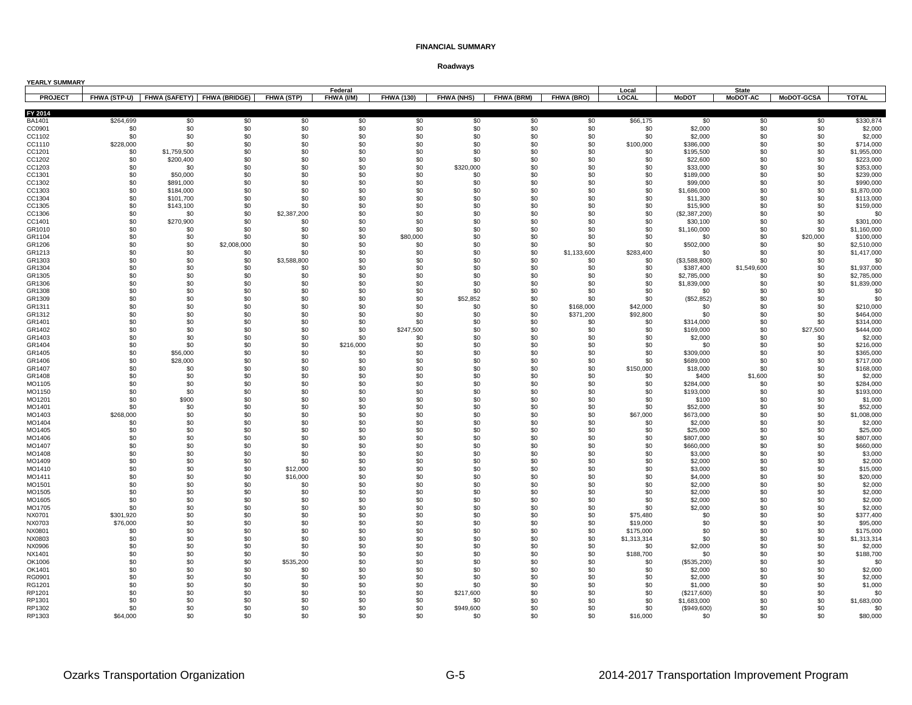| YEARLY SUMMARY   |                  |                                          |             |                      |            |                   |                   |            |                        |                      |                         |                 |                   |                          |
|------------------|------------------|------------------------------------------|-------------|----------------------|------------|-------------------|-------------------|------------|------------------------|----------------------|-------------------------|-----------------|-------------------|--------------------------|
| <b>PROJECT</b>   |                  |                                          |             |                      | Federal    |                   |                   |            |                        | Local                |                         | <b>State</b>    |                   | <b>TOTAL</b>             |
|                  |                  | FHWA (STP-U) FHWA (SAFETY) FHWA (BRIDGE) |             | FHWA (STP)           | FHWA (I/M) | <b>FHWA (130)</b> | <b>FHWA (NHS)</b> | FHWA (BRM) | <b>FHWA (BRO)</b>      | LOCAL                | <b>MoDOT</b>            | <b>MoDOT-AC</b> | <b>MoDOT-GCSA</b> |                          |
| FY 2014          |                  |                                          |             |                      |            |                   |                   |            |                        |                      |                         |                 |                   |                          |
| BA1401           | \$264,699        | \$0                                      | \$0         | \$0                  | \$0        | \$0               | \$0               | \$0        | \$0                    | \$66,175             | \$0                     | \$0             | \$0               | \$330,874                |
| CC0901           | \$0              | \$0                                      | \$0         | \$0                  | \$0        | \$0               | \$0               | \$0        | \$0                    | \$0                  | \$2,000                 | \$0             | \$0               | \$2,000                  |
| CC1102<br>CC1110 | \$0<br>\$228,000 | \$0<br>\$0                               | \$0<br>\$0  | \$0<br>\$0           | \$0<br>\$0 | \$0<br>\$0        | \$0<br>\$0        | \$0<br>\$0 | \$0<br>\$0             | \$0<br>\$100,000     | \$2,000<br>\$386,000    | \$0<br>\$0      | \$0<br>\$0        | \$2,000<br>\$714,000     |
| CC1201           | \$0              | \$1,759,500                              | \$0         | \$0                  | \$0        | \$0               | \$0               | \$0        | \$0                    | \$0                  | \$195,500               | \$0             | \$0               | \$1,955,000              |
| CC1202           | \$0              | \$200,400                                | \$0         | \$0                  | \$0        | \$0               | \$0               | \$0        | \$0                    | \$0                  | \$22,600                | \$0             | \$0               | \$223,000                |
| CC1203           | \$0              | \$0                                      | \$0         | \$0                  | \$0        | \$0               | \$320,000         | \$0        | \$0                    | \$0                  | \$33,000                | \$0             | \$0               | \$353,000                |
| CC1301           | \$0              | \$50,000                                 | \$0         | \$0                  | \$0        | \$0               | \$0               | \$0        | \$0                    | \$0                  | \$189,000               | \$0             | \$0               | \$239,000                |
| CC1302           | \$0              | \$891,000                                | \$0         | \$0                  | \$0        | \$0               | \$0               | \$0        | \$0                    | \$0                  | \$99,000                | \$0             | \$0               | \$990,000                |
| CC1303           | \$0              | \$184,000                                | \$0         | \$0                  | \$0        | \$0               | \$0               | \$0        | \$0                    | \$0                  | \$1,686,000             | \$0             | \$0               | \$1,870,000              |
| CC1304           | \$0              | \$101,700                                | \$0         | \$0                  | \$0        | \$0               | \$0               | \$0        | \$0                    | \$0                  | \$11,300                | \$0             | \$0               | \$113,000                |
| CC1305           | \$0              | \$143,100                                | \$0         | \$0                  | \$0        | \$0               | \$0               | \$0        | \$0                    | \$0                  | \$15,900                | \$0             | \$0               | \$159,000                |
| CC1306           | \$0              | \$0                                      | \$0<br>\$0  | \$2,387,200<br>\$0   | \$0<br>\$0 | \$0<br>\$0        | \$0<br>\$0        | \$0<br>\$0 | \$0<br>\$0             | \$0<br>\$0           | (\$2,387,200)           | \$0<br>\$0      | \$0<br>\$0        | \$0                      |
| CC1401<br>GR1010 | \$0<br>\$0       | \$270,900<br>\$0                         | \$0         | \$0                  | \$0        | \$0               | \$0               | \$0        | \$0                    | \$0                  | \$30,100<br>\$1,160,000 | \$0             | \$0               | \$301,000<br>\$1,160,000 |
| GR1104           | \$0              | \$0                                      | \$0         | \$0                  | \$0        | \$80,000          | \$0               | \$0        | \$0                    | \$0                  | \$0                     | \$0             | \$20,000          | \$100,000                |
| GR1206           | \$0              | \$0                                      | \$2,008,000 | \$0                  | \$0        | \$0               | \$0               | \$0        | \$0                    | \$0                  | \$502,000               | \$0             | \$0               | \$2,510,000              |
| GR1213           | \$0              | \$0                                      | \$0         | \$0                  | \$0        | \$0               | \$0               | \$0        | \$1,133,600            | \$283,400            | \$0                     | \$0             | \$0               | \$1,417,000              |
| GR1303           | \$0              | \$0                                      | \$0         | \$3,588,800          | \$0        | \$0               | \$0               | \$0        | \$0                    | \$0                  | (\$3,588,800)           | \$0             | \$0               | \$0                      |
| GR1304           | \$0              | \$0                                      | \$0         | \$0                  | \$0        | \$0               | \$0               | \$0        | \$0                    | \$0                  | \$387,400               | \$1,549,600     | \$0               | \$1,937,000              |
| GR1305           | \$0              | \$0                                      | \$0         | \$0                  | \$0        | \$0               | \$0               | \$0        | \$0                    | \$0                  | \$2,785,000             | \$0             | \$0               | \$2,785,000              |
| GR1306           | \$0              | \$0                                      | \$0         | \$0                  | \$0        | \$0               | \$0               | \$0        | \$0                    | \$0                  | \$1,839,000             | \$0             | \$0               | \$1,839,000              |
| GR1308           | \$0              | \$0                                      | \$0         | \$0                  | \$0        | \$0               | \$0               | \$0        | \$0                    | \$0                  | \$0                     | \$0             | \$0               | \$0                      |
| GR1309           | \$0              | \$0                                      | \$0         | \$0                  | \$0        | \$0               | \$52,852          | \$0        | \$0                    | \$0                  | (\$52,852)              | \$0             | \$0               | \$0                      |
| GR1311<br>GR1312 | \$0<br>\$0       | \$0<br>\$0                               | \$0<br>\$0  | \$0<br>\$0           | \$0<br>\$0 | \$0<br>\$0        | \$0<br>\$0        | \$0<br>\$0 | \$168,000<br>\$371,200 | \$42,000<br>\$92,800 | \$0<br>\$0              | \$0<br>\$0      | \$0<br>\$0        | \$210,000<br>\$464,000   |
| GR1401           | \$0              | \$0                                      | \$0         | \$0                  | \$0        | \$0               | \$0               | \$0        | \$0                    | \$0                  | \$314,000               | \$0             | \$0               | \$314,000                |
| GR1402           | \$0              | \$0                                      | \$0         | \$0                  | \$0        | \$247,500         | \$0               | \$0        | \$0                    | \$0                  | \$169,000               | \$0             | \$27,500          | \$444,000                |
| GR1403           | \$0              | \$0                                      | \$0         | \$0                  | \$0        | \$0               | \$0               | \$0        | \$0                    | \$0                  | \$2,000                 | \$0             | \$0               | \$2,000                  |
| GR1404           | \$0              | \$0                                      | \$0         | \$0                  | \$216,000  | \$0               | \$0               | \$0        | \$0                    | \$0                  | \$0                     | \$0             | \$0               | \$216,000                |
| GR1405           | \$0              | \$56,000                                 | \$0         | \$0                  | \$0        | \$0               | \$0               | \$0        | \$0                    | \$0                  | \$309,000               | \$0             | \$0               | \$365,000                |
| GR1406           | \$0              | \$28,000                                 | \$0         | \$0                  | \$0        | \$0               | \$0               | \$0        | \$0                    | \$0                  | \$689,000               | \$0             | \$0               | \$717,000                |
| GR1407           | \$0              | \$0                                      | \$0         | \$0                  | \$0        | \$0               | \$0               | \$0        | \$0                    | \$150,000            | \$18,000                | \$0             | \$0               | \$168,000                |
| GR1408           | \$0              | \$0                                      | \$0         | \$0                  | \$0        | \$0               | \$0               | \$0        | \$0                    | \$0                  | \$400                   | \$1,600         | \$0               | \$2,000                  |
| MO1105           | \$0<br>\$0       | \$0<br>\$0                               | \$0<br>\$0  | \$0<br>\$0           | \$0<br>\$0 | \$0<br>\$0        | \$0<br>\$0        | \$0<br>\$0 | \$0<br>\$0             | \$0<br>\$0           | \$284,000               | \$0             | \$0<br>\$0        | \$284,000                |
| MO1150<br>MO1201 | \$0              | \$900                                    | \$0         | \$0                  | \$0        | \$0               | \$0               | \$0        | \$0                    | \$0                  | \$193,000<br>\$100      | \$0<br>\$0      | \$0               | \$193,000<br>\$1,000     |
| MO1401           | \$0              | \$0                                      | \$0         | \$0                  | \$0        | \$0               | \$0               | \$0        | \$0                    | \$0                  | \$52,000                | \$0             | \$0               | \$52,000                 |
| MO1403           | \$268,000        | \$0                                      | \$0         | \$0                  | \$0        | \$0               | \$0               | \$0        | \$0                    | \$67,000             | \$673,000               | \$0             | \$0               | \$1,008,000              |
| MO1404           | \$0              | \$0                                      | \$0         | \$0                  | \$0        | \$0               | \$0               | \$0        | \$0                    | \$0                  | \$2,000                 | \$0             | \$0               | \$2,000                  |
| MO1405           | \$0              | \$0                                      | \$0         | \$0                  | \$0        | \$0               | \$0               | \$0        | \$0                    | \$0                  | \$25,000                | \$0             | \$0               | \$25,000                 |
| MO1406           | \$0              | \$0                                      | \$0         | \$0                  | \$0        | \$0               | \$0               | \$0        | \$0                    | \$0                  | \$807,000               | \$0             | \$0               | \$807,000                |
| MO1407           | \$0              | \$0                                      | \$0         | \$0                  | \$0        | \$0               | \$0               | \$0        | \$0                    | \$0                  | \$660,000               | \$0             | \$0               | \$660,000                |
| MO1408           | \$0              | \$0                                      | \$0         | \$0                  | \$0        | \$0               | \$0               | \$0        | \$0                    | \$0                  | \$3,000                 | \$0             | \$0               | \$3,000                  |
| MO1409           | \$0              | \$0                                      | \$0         | \$0                  | \$0        | \$0               | \$0               | \$0        | \$0                    | \$0                  | \$2,000                 | \$0             | \$0               | \$2,000                  |
| MO1410<br>MO1411 | \$0<br>\$0       | \$0<br>\$0                               | \$0<br>\$0  | \$12,000<br>\$16,000 | \$0<br>\$0 | \$0<br>\$0        | \$0<br>\$0        | \$0<br>\$0 | \$0<br>\$0             | \$0<br>\$0           | \$3,000<br>\$4,000      | \$0<br>\$0      | \$0<br>\$0        | \$15,000<br>\$20,000     |
| MO1501           | \$0              | \$0                                      | \$0         | \$0                  | \$0        | \$0               | \$0               | \$0        | \$0                    | \$0                  | \$2,000                 | \$0             | \$0               | \$2,000                  |
| MO1505           | \$0              | \$0                                      | \$0         | \$0                  | \$0        | \$0               | \$0               | \$0        | \$0                    | \$0                  | \$2,000                 | \$0             | \$0               | \$2,000                  |
| MO1605           | \$0              | \$0                                      | \$0         | \$0                  | \$0        | \$0               | \$0               | \$0        | \$0                    | \$0                  | \$2,000                 | \$0             | \$0               | \$2,000                  |
| MO1705           | \$0              | \$0                                      | \$0         | \$0                  | \$0        | \$0               | \$0               | \$0        | \$0                    | \$0                  | \$2,000                 | \$0             | \$0               | \$2,000                  |
| NX0701           | \$301,920        | \$0                                      | \$0         | \$0                  | \$0        | \$0               | \$0               | \$0        | \$0                    | \$75,480             | \$0                     | \$0             | \$0               | \$377,400                |
| NX0703           | \$76,000         | \$0                                      | \$0         | \$0                  | \$0        | \$0               | \$0               | \$0        | \$0                    | \$19,000             | \$0                     | \$0             | \$0               | \$95,000                 |
| NX0801           | \$0              | \$0                                      | \$0         | \$0                  | \$0        | \$0               | \$0               | \$0        | \$0                    | \$175,000            | \$0                     | \$0             | \$0               | \$175,000                |
| NX0803           | \$0              | \$0                                      | \$0         | \$0                  | \$0        | \$0               | \$0               | \$0        | \$0                    | \$1,313,314          | \$0                     | \$0             | \$0               | \$1,313,314              |
| NX0906           | \$0              | \$0                                      | \$0         | \$0                  | \$0        | \$0               | \$0               | \$0        | \$0                    | \$0                  | \$2,000                 | \$0             | \$0               | \$2,000                  |
| NX1401<br>OK1006 | \$0<br>\$0       | \$0<br>\$0                               | \$0<br>\$0  | \$0<br>\$535,200     | \$0<br>\$0 | \$0<br>\$0        | \$0<br>\$0        | \$0<br>\$0 | \$0<br>\$0             | \$188,700<br>\$0     | \$0                     | \$0<br>\$0      | \$0<br>\$0        | \$188,700<br>\$0         |
| OK1401           | \$0              | \$0                                      | \$0         | \$0                  | \$0        | \$0               | \$0               | \$0        | \$0                    | \$0                  | (\$535,200)<br>\$2,000  | \$0             | \$0               | \$2,000                  |
| RG0901           | \$0              | \$0                                      | \$0         | \$0                  | \$0        | \$0               | \$0               | \$0        | \$0                    | \$0                  | \$2,000                 | \$0             | \$0               | \$2,000                  |
| RG1201           | \$0              | \$0                                      | \$0         | \$0                  | \$0        | \$0               | \$0               | \$0        | \$0                    | \$0                  | \$1,000                 | \$0             | \$0               | \$1,000                  |
| RP1201           | \$0              | \$0                                      | \$0         | \$0                  | \$0        | \$0               | \$217,600         | \$0        | \$0                    | \$0                  | (\$217,600)             | \$0             | \$0               | \$0                      |
| RP1301           | \$0              | \$0                                      | \$0         | \$0                  | \$0        | \$0               | \$0               | \$0        | \$0                    | \$0                  | \$1,683,000             | \$0             | \$0               | \$1,683,000              |
| RP1302           | \$0              | \$0                                      | \$0         | \$0                  | \$0        | \$0               | \$949,600         | \$0        | \$0                    | \$0                  | (\$949,600)             | \$0             | \$0               | \$0                      |
| RP1303           | \$64,000         | .ፍስ                                      | \$0         | \$0                  | \$0        | \$0               | \$0               | \$0        | \$0                    | \$16,000             | \$0                     | \$0             | \$0               | \$80,000                 |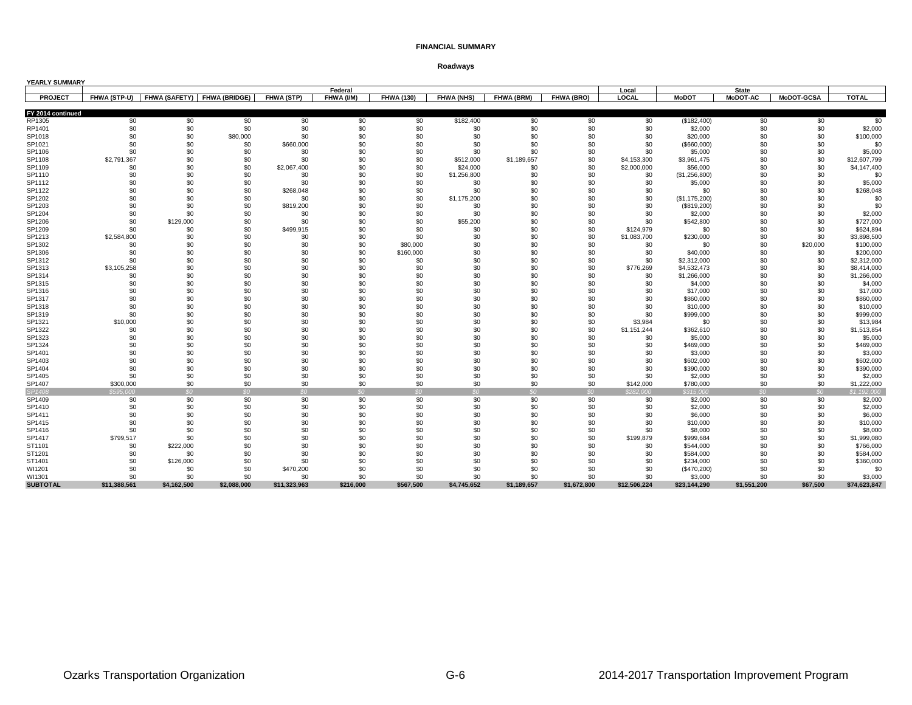| YEARLY SUMMARY    |                     |                             |                 |              |                 |                   |                   |             |                 |              |                |                 |                   |              |
|-------------------|---------------------|-----------------------------|-----------------|--------------|-----------------|-------------------|-------------------|-------------|-----------------|--------------|----------------|-----------------|-------------------|--------------|
|                   |                     |                             |                 |              | Federal         |                   |                   |             |                 | Local        |                | <b>State</b>    |                   |              |
| <b>PROJECT</b>    | <b>FHWA (STP-U)</b> | FHWA (SAFETY) FHWA (BRIDGE) |                 | FHWA (STP)   | FHWA (I/M)      | <b>FHWA (130)</b> | <b>FHWA (NHS)</b> | FHWA (BRM)  | FHWA (BRO)      | LOCAL        | <b>MoDOT</b>   | <b>MoDOT-AC</b> | <b>MoDOT-GCSA</b> | <b>TOTAL</b> |
|                   |                     |                             |                 |              |                 |                   |                   |             |                 |              |                |                 |                   |              |
| FY 2014 continued |                     |                             |                 |              |                 |                   |                   |             |                 |              |                |                 |                   |              |
| RP1305            | \$0                 | \$0                         | \$0             | \$0          | \$0             | \$0               | \$182,400         | \$0         | \$0             | \$0          | (\$182,400)    | \$0             | \$0               | \$0          |
| RP1401            | \$0                 | \$0                         | \$0             | \$0          | \$0             | \$0               | \$0               | \$0         | \$0             | \$0          | \$2,000        | \$0             | \$0               | \$2,000      |
| SP1018            | \$0                 | \$0                         | \$80,000        | \$0          | \$0             | \$0               | \$0               | \$0         | \$0             | \$0          | \$20,000       | \$0             | \$0               | \$100,000    |
| SP1021            | \$0                 | \$0                         | \$0             | \$660,000    | \$0             | \$0               | \$0               | \$0         | \$0             | \$0          | $($ \$660,000) | \$0             | \$0               | \$0          |
| SP1106            | \$0                 | \$0                         | \$0             | \$0          | \$0             | \$0               | \$0               | \$0         | \$0             | \$0          | \$5,000        | \$0             | \$0               | \$5,000      |
| SP1108            | \$2,791,367         | \$0                         | \$0             | \$0          | \$0             | \$0               | \$512,000         | \$1,189,657 | \$0             | \$4,153,300  | \$3,961,475    | \$0             | \$0               | \$12,607,799 |
| SP1109            | \$0                 | \$0                         | \$0             | \$2,067,400  | \$0             | \$0               | \$24,000          | \$0         | \$0             | \$2,000,000  | \$56,000       | \$0             | \$0               | \$4,147,400  |
| SP1110            | \$0                 | \$0                         | \$0             | \$0          | \$0             | \$0               | \$1,256,800       | \$0         | \$0             | \$0          | (\$1,256,800)  | \$0             | \$0               | \$0          |
| SP1112            | \$0                 | \$0                         | \$0             | \$0          | \$0             | \$0               | \$0               | \$0         | \$0             | \$0          | \$5,000        | \$0             | \$0               | \$5,000      |
| SP1122            | \$0                 | \$0                         | \$0             | \$268,048    | \$0             | \$0               | \$0               | \$0         | \$0             | \$0          | \$0            | \$0             | \$0               | \$268,048    |
| SP1202            | \$0                 | \$0                         | \$0             | \$0          | \$0             | \$0               | \$1,175,200       | \$0         | \$0             | \$0          | (\$1,175,200)  | \$0             | \$0               | \$0          |
| SP1203            | \$0                 | \$0                         | \$0             | \$819,200    | \$0             | \$0               | \$0               | \$0         | \$0             | \$0          | (\$819,200)    | \$0             | \$0               | \$0          |
| SP1204            | \$0                 | \$0                         | \$0             | \$0          | \$0             | \$0               | \$0               | \$0         | \$0             | \$0          | \$2,000        | \$0             | \$0               | \$2,000      |
| SP1206            | \$0                 | \$129,000                   | \$0             | \$0          | \$0             | \$0               | \$55,200          | \$0         | \$0             | \$0          | \$542,800      | \$0             | \$0               | \$727,000    |
| SP1209            | \$0                 | \$0                         | \$0             | \$499,915    | \$0             | \$0               | \$0               | \$0         | \$0             | \$124,979    | \$0            | \$0             | \$0               | \$624,894    |
| SP1213            | \$2,584,800         | \$0                         | \$0             | \$0          | \$0             | \$0               | \$0               | \$0         | \$0             | \$1,083,700  | \$230,000      | \$0             | \$0               | \$3,898,500  |
| SP1302            | \$0                 | \$0                         | \$0             | \$0          | \$0             | \$80,000          | \$0               | \$0         | \$0             | \$0          | \$0            | \$0             | \$20,000          | \$100,000    |
| SP1306            | \$0                 | \$0                         | \$0             | \$0          | \$0             | \$160,000         | \$0               | \$0         | \$0             | \$0          | \$40,000       | \$0             | \$0               | \$200,000    |
| SP1312            | \$0                 | \$0                         | \$0             | \$0          | \$0             | \$0               | \$0               | \$0         | \$0             | \$0          | \$2,312,000    | \$0             | \$0               | \$2,312,000  |
| SP1313            | \$3,105,258         | \$0                         | \$0             | \$0          | \$0             | \$0               | \$0               | \$0         | \$0             | \$776,269    | \$4,532,473    | \$0             | \$0               | \$8,414,000  |
| SP1314            | \$0                 | \$0                         | \$0             | \$0          | \$0             | \$0               | \$0               | \$0         | \$0             | \$0          | \$1,266,000    | \$0             | \$0               | \$1,266,000  |
| SP1315            | \$0                 | \$0                         | \$0             | \$0          | \$0             | \$0               | \$0               | \$0         | \$0             | \$0          | \$4,000        | \$0             | \$0               | \$4,000      |
| SP1316            | \$0                 | \$0                         | \$0             | \$0          | \$0             | \$0               | \$0               | \$0         | \$0             | \$0          | \$17,000       | \$0             | \$0               | \$17,000     |
| SP1317            | \$0                 | \$0                         | \$0             | \$0          | \$0             | \$0               | \$0               | \$0         | \$0             | \$0          | \$860,000      | \$0             | \$0               | \$860,000    |
| SP1318            | \$0                 | \$0                         | \$0             | \$0          | \$0             | \$0               | \$0               | \$0         | \$0             | \$0          | \$10,000       | \$0             | \$0               | \$10,000     |
| SP1319            | \$0                 | \$0                         | \$0             | \$0          | \$0             | \$0               | \$0               | \$0         | \$0             | \$0          | \$999,000      | \$0             | \$0               | \$999,000    |
| SP1321            | \$10,000            | \$0                         | \$0             | \$0          | \$0             | \$0               | \$0               | \$0         | \$0             | \$3,984      | \$0            | \$0             | \$0               | \$13,984     |
| SP1322            | \$0                 | \$0                         | \$0             | \$0          | \$0             | \$0               | \$0               | \$0         | \$0             | \$1,151,244  | \$362,610      | \$0             | \$0               | \$1,513,854  |
| SP1323            | \$0                 | \$0                         | \$0             | \$0          | \$0             | \$0               | \$0               | \$0         | \$0             | \$0          | \$5,000        | \$0             | \$0               | \$5,000      |
| SP1324            | \$0                 | \$0                         | \$0             | \$0          | \$0             | \$0               | \$0               | \$0         | \$0             | \$0          | \$469,000      | \$0             | \$0               | \$469,000    |
| SP1401            | \$0                 | \$0                         | \$0             | \$0          | \$0             | \$0               | \$0               | \$0         | \$0             | \$0          | \$3,000        | \$0             | \$0               | \$3,000      |
| SP1403            | \$0                 | \$0                         | \$0             | \$0          | \$0             | \$0               | \$0               | \$0         | \$0             | \$0          | \$602,000      | \$0             | \$0               | \$602,000    |
| SP1404            | \$0                 | \$0                         | \$0             | \$0          | \$0             | \$0               | \$0               | \$0         | \$0             | \$0          | \$390,000      | \$0             | \$0               | \$390,000    |
| SP1405            | \$0                 | \$0                         | \$0             | \$0          | \$0             | \$0               | \$0               | \$0         | \$0             | \$0          | \$2,000        | \$0             | \$0               | \$2,000      |
| SP1407            | \$300,000           | \$0                         | \$0             | \$0          | \$0             | \$0               | \$0               | \$0         | \$0             | \$142,000    | \$780,000      | \$0             | \$0               | \$1,222,000  |
| SP1408            | \$595,000           | SO <sub>2</sub>             | SO <sub>2</sub> | SO           | SO <sub>2</sub> | SO                | SO                | SO          | SO <sub>2</sub> | \$282,000    | \$315,000      | $\Omega$        | SO <sub>2</sub>   | \$1,192,000  |
| SP1409            | \$0                 | \$0                         | \$0             | \$0          | \$0             | \$0               | \$0               | \$0         | \$0             | \$0          | \$2,000        | \$0             | \$0               | \$2,000      |
| SP1410            | \$0                 | \$0                         | \$0             | \$0          | \$0             | \$0               | \$0               | \$0         | \$0             | \$0          | \$2,000        | \$0             | \$0               | \$2,000      |
| SP1411            | \$0                 | \$0                         | \$0             | \$0          | \$0             | \$0               | \$0               | \$0         | \$0             | \$0          | \$6,000        | \$0             | \$0               | \$6,000      |
| SP1415            | \$0                 | \$0                         | \$0             | \$0          | \$0             | \$0               | \$0               | \$0         | \$0             | \$0          | \$10,000       | \$0             | \$0               | \$10,000     |
| SP1416            | \$0                 | \$0                         | \$0             | \$0          | \$0             | \$0               | \$0               | \$0         | \$0             | \$0          | \$8,000        | \$0             | \$0               | \$8,000      |
| SP1417            | \$799,517           | \$0                         | \$0             | \$0          | \$0             | \$0               | \$0               | \$0         | \$0             | \$199,879    | \$999,684      | \$0             | \$0               | \$1,999,080  |
| ST1101            | \$0                 | \$222,000                   | \$0             | \$0          | \$0             | \$0               | \$0               | \$0         | \$0             | \$0          | \$544,000      | \$0             | \$0               | \$766,000    |
| ST1201            | \$0                 | \$0                         | \$0             | \$0          | \$0             | \$0               | \$0               | \$0         | \$0             | \$0          | \$584,000      | \$0             | \$0               | \$584,000    |
| ST1401            | \$0                 | \$126,000                   | \$0             | \$0          | \$0             | \$0               | \$0               | \$0         | \$0             | \$0          | \$234,000      | \$0             | \$0               | \$360,000    |
| WI1201            | \$0                 | \$0                         | \$0             | \$470,200    | \$0             | \$0               | \$0               | \$0         | \$0             | \$0          | (\$470,200)    | \$0             | \$0               | \$0          |
| WI1301            | \$0                 | \$0                         | \$0             | \$0          | \$0             | \$0               | \$0               | \$0         | \$0             | \$0          | \$3,000        | \$0             | \$0               | \$3,000      |
| <b>SUBTOTAL</b>   | \$11,388,561        | \$4,162,500                 | \$2.088.000     | \$11,323,963 | \$216.000       | \$567,500         | \$4,745,652       | \$1,189,657 | \$1,672,800     | \$12,506,224 | \$23,144,290   | \$1,551,200     | \$67,500          | \$74,623,847 |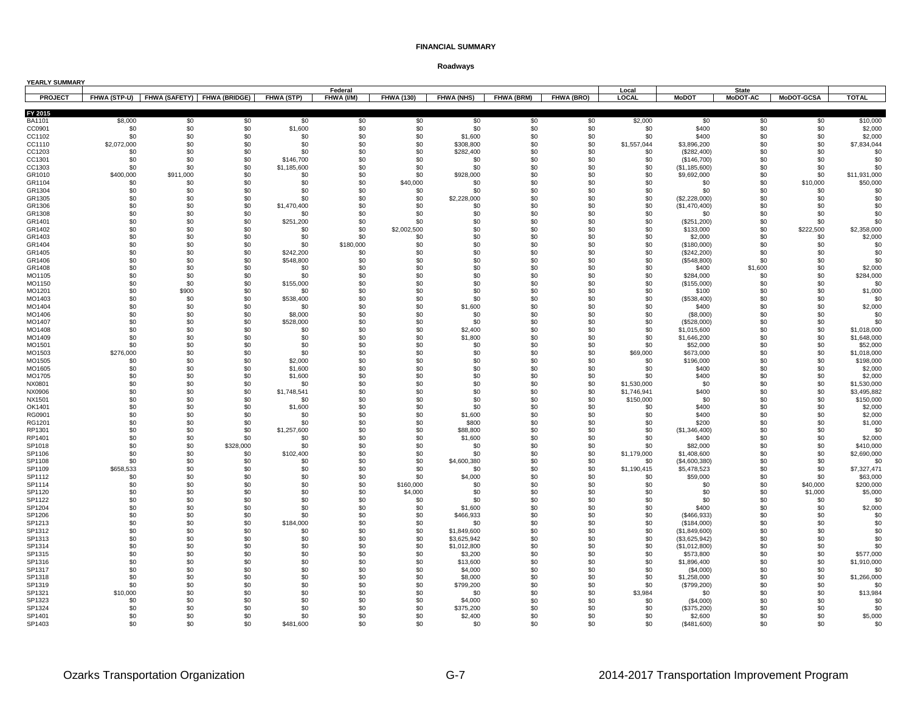| YEARLY SUMMARY    |                                                           |            |            |                          | Federal          |                   |                            |                   |            | Local                    |                                | <b>State</b>    |                   |                            |
|-------------------|-----------------------------------------------------------|------------|------------|--------------------------|------------------|-------------------|----------------------------|-------------------|------------|--------------------------|--------------------------------|-----------------|-------------------|----------------------------|
| <b>PROJECT</b>    | FHWA (STP-U)   FHWA (SAFETY)   FHWA (BRIDGE)   FHWA (STP) |            |            |                          | FHWA (I/M)       | <b>FHWA (130)</b> | FHWA (NHS)                 | <b>FHWA (BRM)</b> | FHWA (BRO) | <b>LOCAL</b>             | <b>MoDOT</b>                   | <b>MoDOT-AC</b> | <b>MoDOT-GCSA</b> | <b>TOTAL</b>               |
|                   |                                                           |            |            |                          |                  |                   |                            |                   |            |                          |                                |                 |                   |                            |
| FY 2015<br>BA1101 | \$8,000                                                   | \$0        | \$0        | \$0                      | \$0              | \$0               | \$0                        | \$0               | \$0        | \$2,000                  | \$0                            | \$0             | \$0               | \$10,000                   |
| CC0901            | \$0                                                       | \$0        | \$0        | \$1,600                  | \$0              | \$0               | \$0                        | \$0               | \$0        | \$0                      | \$400                          | \$0             | \$0               | \$2,000                    |
| CC1102            | \$0                                                       | \$0        | \$0        | \$0                      | \$0              | \$0               | \$1,600                    | \$0               | \$0        | \$0                      | \$400                          | \$0             | \$0               | \$2,000                    |
| CC1110            | \$2,072,000                                               | \$0        | \$0        | \$0                      | \$0              | \$0               | \$308,800                  | \$0               | \$0        | \$1,557,044              | \$3,896,200                    | \$0             | \$0               | \$7,834,044                |
| CC1203            | \$0                                                       | \$0        | \$0        | \$0                      | \$0              | \$0               | \$282,400                  | \$0               | \$0        | \$0                      | (\$282,400)                    | \$0             | \$0               | \$0                        |
| CC1301<br>CC1303  | \$0<br>\$0                                                | \$0<br>\$0 | \$0<br>\$0 | \$146,700<br>\$1,185,600 | \$0<br>\$0       | \$0<br>\$0        | \$0<br>\$0                 | \$0<br>\$0        | \$0<br>\$0 | \$0<br>\$0               | (\$146,700)                    | \$0<br>\$0      | \$0<br>\$0        | \$0<br>\$0                 |
| GR1010            | \$400,000                                                 | \$911,000  | \$0        | \$0                      | \$0              | \$0               | \$928,000                  | \$0               | \$0        | \$0                      | (\$1,185,600)<br>\$9,692,000   | \$0             | \$0               | \$11,931,000               |
| GR1104            | \$0                                                       | \$0        | \$0        | \$0                      | \$0              | \$40,000          | \$0                        | \$0               | \$0        | \$0                      | \$0                            | \$0             | \$10,000          | \$50,000                   |
| GR1304            | \$0                                                       | \$0        | \$0        | \$0                      | \$0              | \$0               | \$0                        | \$0               | \$0        | \$0                      | \$0                            | \$0             | \$0               | \$0                        |
| GR1305            | \$0                                                       | \$0        | \$0        | \$0                      | \$0              | \$0               | \$2,228,000                | \$0               | \$0        | \$0                      | (\$2,228,000)                  | \$0             | \$0               | \$0                        |
| GR1306            | \$0                                                       | \$0        | \$0        | \$1,470,400              | \$0              | \$0               | \$0                        | \$0               | \$0        | \$0                      | (\$1,470,400)                  | \$0             | \$0               | \$0                        |
| GR1308            | \$0                                                       | \$0        | \$0        | \$0                      | \$0              | \$0               | \$0                        | \$0               | \$0        | \$0                      | \$0                            | \$0             | \$0               | \$0                        |
| GR1401            | \$0                                                       | \$0        | \$0        | \$251,200                | \$0              | \$0               | \$0                        | \$0               | \$0        | \$0                      | (\$251,200)                    | \$0             | \$0               | \$0                        |
| GR1402            | \$0                                                       | \$0        | \$0        | \$0                      | \$0              | \$2,002,500       | \$0                        | \$0               | \$0        | \$0                      | \$133,000                      | \$0             | \$222,500         | \$2,358,000<br>\$2,000     |
| GR1403<br>GR1404  | \$0<br>\$0                                                | \$0<br>\$0 | \$0<br>\$0 | \$0<br>\$0               | \$0<br>\$180,000 | \$0<br>\$0        | \$0<br>\$0                 | \$0<br>\$0        | \$0<br>\$0 | \$0<br>\$0               | \$2,000<br>(\$180,000)         | \$0<br>\$0      | \$0<br>\$0        | \$0                        |
| GR1405            | \$0                                                       | \$0        | \$0        | \$242,200                | \$0              | \$0               | \$0                        | \$0               | \$0        | \$0                      | (\$242,200)                    | \$0             | \$0               | \$0                        |
| GR1406            | \$0                                                       | \$0        | \$0        | \$548,800                | \$0              | \$0               | \$0                        | \$0               | \$0        | \$0                      | (\$548,800)                    | \$0             | \$0               | \$0                        |
| GR1408            | \$0                                                       | \$0        | \$0        | \$0                      | \$0              | \$0               | \$0                        | \$0               | \$0        | \$0                      | \$400                          | \$1,600         | \$0               | \$2,000                    |
| MO1105            | \$0                                                       | \$0        | \$0        | \$0                      | \$0              | \$0               | \$0                        | \$0               | \$0        | \$0                      | \$284,000                      | \$0             | \$0               | \$284,000                  |
| MO1150            | \$0                                                       | \$0        | \$0        | \$155,000                | \$0              | \$0               | \$0                        | \$0               | \$0        | \$0                      | (\$155,000)                    | \$0             | \$0               | \$0                        |
| MO1201            | \$0                                                       | \$900      | \$0        | \$0                      | \$0              | \$0               | \$0                        | \$0               | \$0        | \$0                      | \$100                          | \$0             | \$0               | \$1,000                    |
| MO1403            | \$0                                                       | \$0        | \$0        | \$538,400                | \$0              | \$0               | \$0                        | \$0               | \$0        | \$0                      | (\$538,400)                    | \$0             | \$0               | \$0                        |
| MO1404            | \$0                                                       | \$0        | \$0        | \$0                      | \$0              | \$0               | \$1,600                    | \$0               | \$0        | \$0                      | \$400                          | \$0             | \$0               | \$2,000                    |
| MO1406<br>MO1407  | \$0<br>\$0                                                | \$0<br>\$0 | \$0<br>\$0 | \$8,000<br>\$528,000     | \$0<br>\$0       | \$0<br>\$0        | \$0<br>\$0                 | \$0<br>\$0        | \$0<br>\$0 | \$0<br>\$0               | (\$8,000)<br>(\$528,000)       | \$0<br>\$0      | \$0<br>\$0        | \$0<br>\$0                 |
| MO1408            | \$0                                                       | \$0        | \$0        | \$0                      | \$0              | \$0               | \$2,400                    | \$0               | \$0        | \$0                      | \$1,015,600                    | \$0             | \$0               | \$1,018,000                |
| MO1409            | \$0                                                       | \$0        | \$0        | \$0                      | \$0              | \$0               | \$1,800                    | \$0               | \$0        | \$0                      | \$1,646,200                    | \$0             | \$0               | \$1,648,000                |
| MO1501            | \$0                                                       | \$0        | \$0        | \$0                      | \$0              | \$0               | \$0                        | \$0               | \$0        | \$0                      | \$52,000                       | \$0             | \$0               | \$52,000                   |
| MO1503            | \$276,000                                                 | \$0        | \$0        | \$0                      | \$0              | \$0               | \$0                        | \$0               | \$0        | \$69,000                 | \$673,000                      | \$0             | \$0               | \$1,018,000                |
| MO1505            | \$0                                                       | \$0        | \$0        | \$2,000                  | \$0              | \$0               | \$0                        | \$0               | \$0        | \$0                      | \$196,000                      | \$0             | \$0               | \$198,000                  |
| MO1605            | \$0                                                       | \$0        | \$0        | \$1,600                  | \$0              | \$0               | \$0                        | \$0               | \$0        | \$0                      | \$400                          | \$0             | \$0               | \$2,000                    |
| MO1705            | \$0                                                       | \$0        | \$0        | \$1,600                  | \$0              | \$0               | \$0                        | \$0               | \$0        | \$0                      | \$400                          | \$0             | \$0               | \$2,000                    |
| NX0801<br>NX0906  | \$0<br>\$0                                                | \$0<br>\$0 | \$0<br>\$0 | \$0<br>\$1,748,541       | \$0<br>\$0       | \$0<br>\$0        | \$0<br>\$0                 | \$0<br>\$0        | \$0<br>\$0 | \$1,530,000              | \$0<br>\$400                   | \$0<br>\$0      | \$0<br>\$0        | \$1,530,000<br>\$3,495,882 |
| NX1501            | \$0                                                       | \$0        | \$0        | \$0                      | \$0              | \$0               | \$0                        | \$0               | \$0        | \$1,746,941<br>\$150,000 | \$0                            | \$0             | \$0               | \$150,000                  |
| OK1401            | \$0                                                       | \$0        | \$0        | \$1,600                  | \$0              | \$0               | \$0                        | \$0               | \$0        | \$0                      | \$400                          | \$0             | \$0               | \$2,000                    |
| RG0901            | \$0                                                       | \$0        | \$0        | \$0                      | \$0              | \$0               | \$1,600                    | \$0               | \$0        | \$0                      | \$400                          | \$0             | \$0               | \$2,000                    |
| RG1201            | \$0                                                       | \$0        | \$0        | \$0                      | \$0              | \$0               | \$800                      | \$0               | \$0        | \$0                      | \$200                          | \$0             | \$0               | \$1,000                    |
| RP1301            | \$0                                                       | \$0        | \$0        | \$1,257,600              | \$0              | \$0               | \$88,800                   | \$0               | \$0        | \$0                      | (\$1,346,400)                  | \$0             | \$0               | \$0                        |
| RP1401            | \$0                                                       | \$0        | \$0        | \$0                      | \$0              | \$0               | \$1,600                    | \$0               | \$0        | \$0                      | \$400                          | \$0             | \$0               | \$2,000                    |
| SP1018            | \$0                                                       | \$0        | \$328,000  | \$0                      | \$0              | \$0               | \$0                        | \$0               | \$0        | \$0                      | \$82,000                       | \$0             | \$0               | \$410,000                  |
| SP1106<br>SP1108  | \$0<br>\$0                                                | \$0        | \$0<br>\$0 | \$102,400                | \$0<br>\$0       | \$0               | \$0                        | \$0               | \$0<br>\$0 | \$1,179,000<br>\$0       | \$1,408,600                    | \$0             | \$0<br>\$0        | \$2,690,000<br>\$0         |
| SP1109            | \$658,533                                                 | \$0<br>\$0 | \$0        | \$0<br>\$0               | \$0              | \$0<br>\$0        | \$4,600,380<br>\$0         | \$0<br>\$0        | \$0        | \$1,190,415              | (\$4,600,380)<br>\$5,478,523   | \$0<br>\$0      | \$0               | \$7,327,471                |
| SP1112            | \$0                                                       | \$0        | \$0        | \$0                      | \$0              | \$0               | \$4,000                    | \$0               | \$0        | \$0                      | \$59,000                       | \$0             | \$0               | \$63,000                   |
| SP1114            | \$0                                                       | \$0        | \$0        | \$0                      | \$0              | \$160,000         | \$0                        | \$0               | \$0        | \$0                      | \$0                            | \$0             | \$40,000          | \$200,000                  |
| SP1120            | \$0                                                       | \$0        | \$0        | \$0                      | \$0              | \$4,000           | \$0                        | \$0               | \$0        | \$0                      | \$0                            | \$0             | \$1,000           | \$5,000                    |
| SP1122            | \$0                                                       | \$0        | \$0        | \$0                      | \$0              | \$0               | \$0                        | \$0               | \$0        | \$0                      | \$0                            | \$0             | \$0               | \$0                        |
| SP1204            | \$0                                                       | \$0        | \$0        | \$0                      | \$0              | \$0               | \$1,600                    | \$0               | \$0        | \$0                      | \$400                          | \$0             | \$0               | \$2,000                    |
| SP1206            | \$0                                                       | \$0        | \$0        | \$0                      | \$0              | \$0               | \$466,933                  | \$0               | \$0        | \$0                      | (\$466,933)                    | \$0             | \$0               | \$0                        |
| SP1213            | \$0                                                       | \$0        | \$0        | \$184,000                | \$0              | \$0               | \$0                        | \$0               | \$0        | \$0                      | (\$184,000)                    | \$0             | \$0               | \$0                        |
| SP1312<br>SP1313  | \$0<br>\$0                                                | \$0<br>\$0 | \$0<br>\$0 | \$0<br>\$0               | \$0<br>\$0       | \$0<br>\$0        | \$1,849,600<br>\$3,625,942 | \$0<br>\$0        | \$0<br>\$0 | \$0<br>\$0               | (\$1,849,600)                  | \$0<br>\$0      | \$0<br>\$0        | \$0<br>\$0                 |
| SP1314            | \$0                                                       | \$0        | \$0        | \$0                      | \$0              | \$0               | \$1,012,800                | \$0               | \$0        | \$0                      | (\$3,625,942)<br>(\$1,012,800) | \$0             | \$0               | \$0                        |
| SP1315            | \$0                                                       | \$0        | \$0        | \$0                      | \$0              | \$0               | \$3,200                    | \$0               | \$0        | \$0                      | \$573,800                      | \$0             | \$0               | \$577,000                  |
| SP1316            | \$0                                                       | \$0        | \$0        | \$0                      | \$0              | \$0               | \$13,600                   | \$0               | \$0        | \$0                      | \$1,896,400                    | \$0             | \$0               | \$1,910,000                |
| SP1317            | \$0                                                       | \$0        | \$0        | \$0                      | \$0              | \$0               | \$4,000                    | \$0               | \$0        | \$0                      | (\$4,000)                      | \$0             | \$0               | \$0                        |
| SP1318            | \$0                                                       | \$0        | \$0        | \$0                      | \$0              | \$0               | \$8,000                    | \$0               | \$0        | \$0                      | \$1,258,000                    | \$0             | \$0               | \$1,266,000                |
| SP1319            | \$0                                                       | \$0        | \$0        | \$0                      | \$0              | \$0               | \$799,200                  | \$0               | \$0        | \$0                      | (\$799,200)                    | \$0             | \$0               | \$0                        |
| SP1321            | \$10,000                                                  | \$0        | \$0        | \$0                      | \$0              | \$0               | \$0                        | \$0               | \$0        | \$3,984                  | \$0                            | \$0             | \$0               | \$13,984                   |
| SP1323            | \$0                                                       | \$0        | \$0        | \$0                      | \$0              | \$0               | \$4,000                    | \$0               | \$0        | \$0                      | (\$4,000)                      | \$0             | \$0               | \$0                        |
| SP1324<br>SP1401  | \$0<br>\$0                                                | \$0<br>\$0 | \$0<br>\$0 | \$0<br>\$0               | \$0<br>\$0       | \$0<br>\$0        | \$375,200<br>\$2,400       | \$0<br>\$0        | \$0<br>\$0 | \$0<br>\$0               | (\$375,200)<br>\$2,600         | \$0<br>\$0      | \$0<br>\$0        | \$0<br>\$5,000             |
| SP1403            | \$0                                                       | \$0        | \$0        | \$481.600                | \$0              | \$0               | \$0                        | \$0               | \$0        | \$0                      | (S481.600)                     | .ፍስ             | \$0               | \$0                        |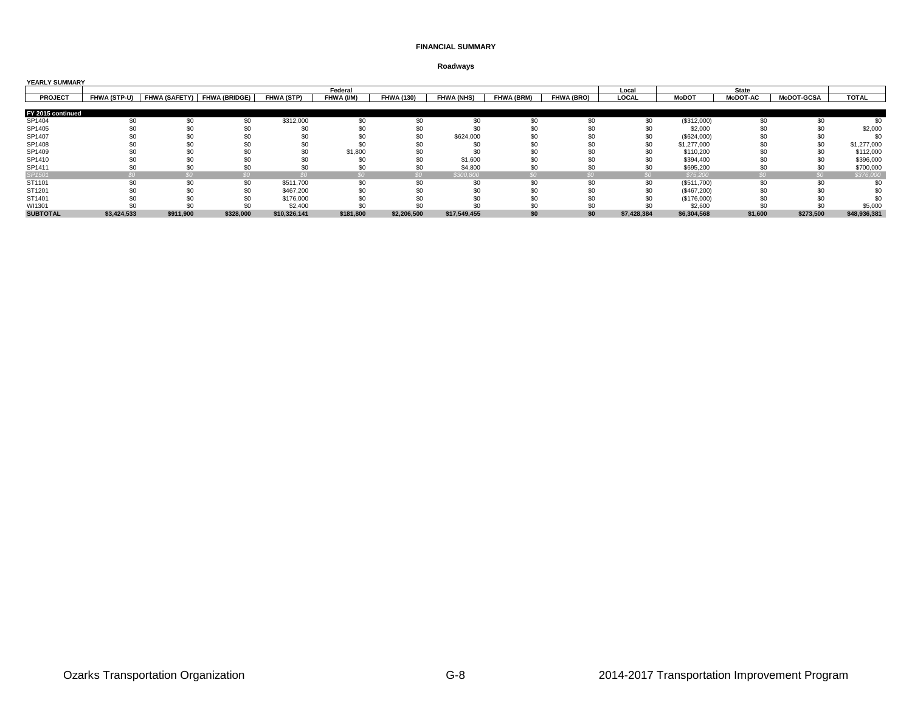| Roadways |
|----------|
|----------|

| <b>YEARLY SUMMARY</b> |             |           |                                          |              |            |                   |                   |                   |                   |             |              |                 |                   |              |
|-----------------------|-------------|-----------|------------------------------------------|--------------|------------|-------------------|-------------------|-------------------|-------------------|-------------|--------------|-----------------|-------------------|--------------|
|                       |             |           |                                          |              | Federal    |                   |                   |                   |                   | Local       |              | <b>State</b>    |                   |              |
| <b>PROJECT</b>        |             |           | FHWA (STP-U) FHWA (SAFETY) FHWA (BRIDGE) | FHWA (STP)   | FHWA (I/M) | <b>FHWA (130)</b> | <b>FHWA (NHS)</b> | <b>FHWA (BRM)</b> | <b>FHWA (BRO)</b> | LOCAL       | <b>MoDOT</b> | <b>MoDOT-AC</b> | <b>MoDOT-GCSA</b> | <b>TOTAL</b> |
|                       |             |           |                                          |              |            |                   |                   |                   |                   |             |              |                 |                   |              |
| FY 2015 continued     |             |           |                                          |              |            |                   |                   |                   |                   |             |              |                 |                   |              |
| SP1404                |             | \$0       | \$0                                      | \$312,000    | \$0        | \$0               | \$0               | \$0               | \$0               | \$0         | (\$312,000)  | \$0             | \$0               | \$0          |
| SP1405                |             | \$0       |                                          |              |            | \$0               | 50                | \$0               |                   | \$0         | \$2,000      | \$0             | \$C               | \$2,000      |
| SP1407                |             |           |                                          |              |            | \$0               | \$624,000         | \$0               |                   | \$0         | (\$624,000)  | \$0             |                   | $$^{0}$      |
| SP1408                |             | SΩ        |                                          | \$0          |            |                   |                   |                   |                   | \$0         | \$1,277,000  | \$0             | $$^{(}$           | \$1,277,000  |
| SP1409                |             |           |                                          | \$0          | \$1,800    | \$0               | \$0               |                   |                   | \$0         | \$110,200    |                 |                   | \$112,000    |
| SP1410                |             |           |                                          |              |            | \$0               | \$1,600           |                   |                   | \$0         | \$394,400    |                 |                   | \$396,000    |
| SP1411                |             | \$0       |                                          | \$0          |            | \$0               | \$4,800           | \$0               |                   | \$0         | \$695,200    | \$0             | \$C               | \$700,000    |
| SP1501                |             |           |                                          |              |            | $\mathcal{S}O$    | \$300,800         |                   |                   | SO          | \$75,200     |                 |                   | \$376,000    |
| ST1101                | \$0         | \$0       | \$0                                      | \$511,700    | \$0        | \$0               | \$0               | \$0               | \$0               | \$0         | (\$511,700)  | \$0             | \$0               | \$0          |
| ST1201                |             | \$0       | \$0                                      | \$467,200    |            | \$C               | SO.               | \$0               |                   | \$0         | (\$467,200)  | \$0             |                   |              |
| ST1401                |             | SO.       |                                          | \$176,000    |            |                   | SO.               | \$0               |                   | \$0         | (\$176,000)  | \$0             |                   |              |
| WI1301                |             | ፍሰ        |                                          | \$2,400      |            |                   |                   | \$0               |                   |             | \$2,600      | \$0             |                   | \$5,000      |
| <b>SUBTOTAL</b>       | \$3,424,533 | \$911,900 | \$328,000                                | \$10,326,141 | \$181,800  | \$2,206,500       | \$17,549,455      | \$0               | \$0               | \$7,428,384 | \$6,304,568  | \$1,600         | \$273,500         | \$48,936,381 |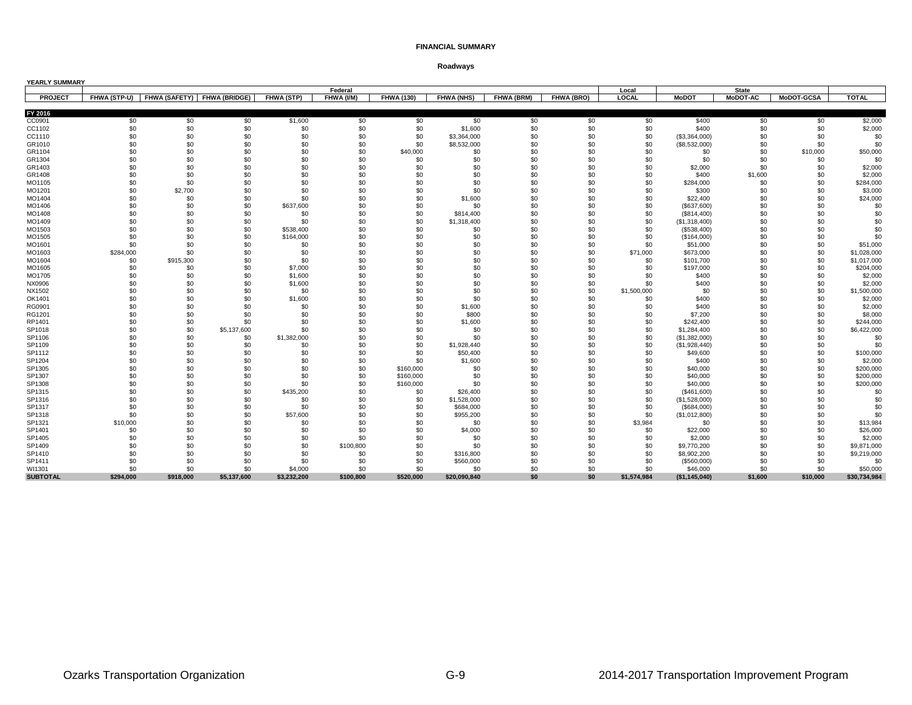| YEARLY SUMMARY   |                 |                             |                    |                        |            |                   |                    |            |            |                    |                              |                 |                   |                            |
|------------------|-----------------|-----------------------------|--------------------|------------------------|------------|-------------------|--------------------|------------|------------|--------------------|------------------------------|-----------------|-------------------|----------------------------|
|                  |                 |                             |                    |                        | Federal    |                   |                    |            |            | Local              |                              | <b>State</b>    |                   |                            |
| <b>PROJECT</b>   | FHWA (STP-U)    | FHWA (SAFETY) FHWA (BRIDGE) |                    | <b>FHWA (STP)</b>      | FHWA (I/M) | <b>FHWA (130)</b> | <b>FHWA (NHS)</b>  | FHWA (BRM) | FHWA (BRO) | LOCAL              | <b>MoDOT</b>                 | <b>MoDOT-AC</b> | <b>MoDOT-GCSA</b> | <b>TOTAL</b>               |
| FY 2016          |                 |                             |                    |                        |            |                   |                    |            |            |                    |                              |                 |                   |                            |
|                  |                 |                             |                    |                        |            |                   |                    |            |            |                    |                              |                 |                   | \$2,000                    |
| CC0901           | \$0             | \$0                         | \$0                | \$1,600                | \$0        | \$0               | \$0                | \$0        | \$0        | \$0                | \$400                        | \$0             | \$0               |                            |
| CC1102           | \$0             | \$0                         | \$0                | \$0                    | \$0        | \$0               | \$1,600            | \$0        | \$0        | \$0                | \$400                        | \$0             | \$0               | \$2,000                    |
| CC1110           | \$0<br>\$0      | \$0                         | \$0<br>\$0         | \$0<br>\$0             | \$0<br>\$0 | \$0<br>\$0        | \$3,364,000        | \$0<br>\$0 | \$0<br>\$0 | \$0<br>\$0         | (\$3,364,000)                | \$0<br>\$0      | \$0               | \$0<br>\$0                 |
| GR1010<br>GR1104 | \$0             | \$0<br>\$0                  | \$0                | \$0                    | \$0        | \$40,000          | \$8,532,000<br>\$0 | \$0        | \$0        | \$0                | (\$8,532,000)                | \$0             | \$0<br>\$10,000   | \$50,000                   |
| GR1304           | \$0             | \$0                         | \$0                | \$0                    | \$0        | \$0               | \$0                | \$0        | \$0        | \$0                | \$0<br>\$0                   | \$0             | \$0               | \$0                        |
| GR1403           | \$0             | \$0                         | \$0                | \$0                    | \$0        | \$0               | \$0                | \$0        | \$0        | \$0                | \$2,000                      | \$0             | \$0               | \$2,000                    |
|                  | \$0             | \$0                         | \$0                | \$0                    | \$0        | \$0               | \$0                | \$0        | \$0        | \$0                | \$400                        | \$1,600         | \$0               | \$2,000                    |
| GR1408<br>MO1105 | \$0             | \$0                         | \$0                | \$0                    | \$0        | \$0               | \$0                | \$0        | \$0        | \$0                | \$284,000                    | \$0             | \$0               | \$284,000                  |
|                  | \$0             | \$2,700                     | \$0                | \$0                    | \$0        | \$0               | \$0                | \$0        | \$0        | \$0                |                              | \$0             | \$0               | \$3,000                    |
| MO1201           | \$0             |                             | \$0                | \$0                    | \$0        | \$0               |                    | \$0        | \$0        | \$0                | \$300                        | \$0             | \$0               |                            |
| MO1404           | \$0             | \$0<br>\$0                  | \$0                |                        | \$0        | \$0               | \$1,600            | \$0        | \$0        | \$0                | \$22,400                     | \$0             | \$0               | \$24,000<br>\$0            |
| MO1406           |                 |                             |                    | \$637,600              |            |                   | \$0                |            | \$0        |                    | (\$637,600)                  |                 |                   |                            |
| MO1408           | \$0             | \$0                         | \$0                | \$0                    | \$0        | \$0               | \$814,400          | \$0        |            | \$0                | (\$814,400)                  | \$0             | \$0               | \$0                        |
| MO1409           | \$0             | \$0                         | \$0                | \$0                    | \$0        | \$0               | \$1,318,400        | \$0        | \$0        | \$0                | (\$1,318,400)                | \$0             | \$0               | \$0                        |
| MO1503<br>MO1505 | \$0<br>\$0      | \$0<br>\$0                  | \$0<br>\$0         | \$538,400<br>\$164,000 | \$0<br>\$0 | \$0<br>\$0        | \$0<br>\$0         | \$0<br>\$0 | \$0<br>\$0 | \$0<br>\$0         | (\$538,400)                  | \$0<br>\$0      | \$0<br>\$0        | \$0                        |
| MO1601           | \$0             | \$0                         | \$0                | \$0                    | \$0        | \$0               | \$0                | \$0        | \$0        | \$0                | (\$164,000)<br>\$51,000      | \$0             | \$0               | \$0<br>\$51,000            |
| MO1603           | \$284,000       | \$0                         | \$0                | \$0                    | \$0        | \$0               | \$0                | \$0        | \$0        | \$71,000           | \$673,000                    | \$0             | \$0               |                            |
|                  | \$0             | \$915,300                   | \$0                | \$0                    | \$0        | \$0               | \$0                | \$0        | \$0        | \$0                |                              | \$0             | \$0               | \$1,028,000<br>\$1,017,000 |
| MO1604           | \$0             | \$0                         | \$0                | \$7,000                | \$0        | \$0               | \$0                | \$0        | \$0        | \$0                | \$101,700                    | \$0             | \$0               | \$204,000                  |
| MO1605           |                 | \$0                         | \$0                | \$1,600                | \$0        | \$0               | \$0                | \$0        | \$0        | \$0                | \$197,000<br>\$400           | \$0             | \$0               | \$2,000                    |
| MO1705           | \$0             | \$0                         |                    |                        | \$0        |                   |                    |            |            | \$0                |                              |                 |                   |                            |
| NX0906           | \$0             | \$0                         | \$0<br>\$0         | \$1,600                | \$0        | \$0               | \$0<br>\$0         | \$0        | \$0<br>\$0 |                    | \$400<br>\$0                 | \$0<br>\$0      | \$0               | \$2,000                    |
| NX1502           | \$0<br>\$0      | \$0                         | \$0                | \$0<br>\$1,600         | \$0        | \$0<br>\$0        | \$0                | \$0<br>\$0 | \$0        | \$1,500,000<br>\$0 |                              | \$0             | \$0<br>\$0        | \$1,500,000                |
| OK1401           |                 |                             |                    |                        |            |                   |                    |            |            |                    | \$400                        |                 |                   | \$2,000                    |
| RG0901           | \$0             | \$0                         | \$0                | \$0                    | \$0        | \$0               | \$1,600            | \$0        | \$0        | \$0                | \$400                        | \$0             | \$0               | \$2,000                    |
| RG1201           | \$0             | \$0                         | \$0                | \$0                    | \$0        | \$0               | \$800              | \$0        | \$0        | \$0                | \$7,200                      | \$0             | \$0               | \$8,000                    |
| RP1401           | \$0             | \$0                         | \$0                | \$0                    | \$0        | \$0               | \$1,600            | \$0        | \$0        | \$0                | \$242,400                    | \$0             | \$0               | \$244,000                  |
| SP1018<br>SP1106 | \$0<br>\$0      | \$0<br>\$0                  | \$5,137,600<br>\$0 | \$0<br>\$1,382,000     | \$0<br>\$0 | \$0<br>\$0        | \$0<br>\$0         | \$0<br>\$0 | \$0<br>\$0 | \$0<br>\$0         | \$1,284,400<br>(\$1,382,000) | \$0<br>\$0      | \$0<br>\$0        | \$6,422,000<br>\$0         |
|                  | \$0             | \$0                         |                    |                        | \$0        | \$0               |                    | \$0        | \$0        | \$0                |                              |                 | \$0               | \$0                        |
| SP1109           | \$0             | \$0                         | \$0                | \$0<br>\$0             | \$0        |                   | \$1,928,440        | \$0        | \$0        |                    | (\$1,928,440)                | \$0             |                   |                            |
| SP1112           | \$0             | \$0                         | \$0<br>\$0         | \$0                    | \$0        | \$0<br>\$0        | \$50,400           | \$0        | \$0        | \$0<br>\$0         | \$49,600                     | \$0<br>\$0      | \$0<br>\$0        | \$100,000                  |
| SP1204<br>SP1305 | \$0             | \$0                         | \$0                | \$0                    | \$0        | \$160,000         | \$1,600<br>\$0     | \$0        | \$0        | \$0                | \$400                        | \$0             | \$0               | \$2,000<br>\$200,000       |
|                  | \$0             | \$0                         | \$0                | \$0                    | \$0        |                   |                    | \$0        | \$0        |                    | \$40,000                     |                 |                   |                            |
| SP1307           | \$0             |                             | \$0                | \$0                    |            | \$160,000         | \$0<br>\$0         | \$0        | \$0        | \$0<br>\$0         | \$40,000                     | \$0<br>\$0      | \$0<br>\$0        | \$200,000                  |
| SP1308           | \$0             | \$0<br>\$0                  | \$0                |                        | \$0<br>\$0 | \$160,000         |                    | \$0        | \$0        | \$0                | \$40,000                     |                 |                   | \$200,000                  |
| SP1315           | \$0             | \$0                         |                    | \$435,200<br>\$0       |            | \$0               | \$26,400           | \$0        | \$0        | \$0                | (\$461,600)                  | \$0<br>\$0      | \$0<br>\$0        | \$0                        |
| SP1316           | \$0             | \$0                         | \$0<br>\$0         | \$0                    | \$0<br>\$0 | \$0               | \$1,528,000        | \$0        | \$0        |                    | (\$1,528,000)                | \$0             |                   | \$0                        |
| SP1317           |                 |                             |                    |                        |            | \$0               | \$684,000          |            |            | \$0                | (\$684,000)                  |                 | \$0               | \$0                        |
| SP1318           | \$0             | \$0                         | \$0                | \$57,600               | \$0        | \$0               | \$955,200          | \$0        | \$0        | \$0                | (\$1,012,800)                | \$0             | \$0               | \$0                        |
| SP1321<br>SP1401 | \$10,000<br>\$0 | \$0<br>\$0                  | \$0<br>\$0         | \$0<br>\$0             | \$0<br>\$0 | \$0<br>\$0        | \$0                | \$0<br>\$0 | \$0<br>\$0 | \$3,984            | \$0<br>\$22,000              | \$0<br>\$0      | \$0<br>\$0        | \$13,984                   |
| SP1405           | \$0             | \$0                         | \$0                | \$0                    | \$0        | \$0               | \$4,000            | \$0        | \$0        | \$0                | \$2,000                      | \$0             | \$0               | \$26,000<br>\$2,000        |
|                  | \$0             | \$0                         | \$0                | \$0                    | \$100,800  | \$0               | \$0<br>\$0         | \$0        | \$0        | \$0<br>\$0         |                              | \$0             | \$0               | \$9,871,000                |
| SP1409<br>SP1410 | \$0             | \$0                         | \$0                | \$0                    | \$0        | \$0               | \$316,800          | \$0        | \$0        | \$0                | \$9,770,200<br>\$8,902,200   | \$0             | \$0               | \$9,219,000                |
| SP1411           | \$0             | \$0                         | \$0                | \$0                    | \$0        | \$0               | \$560,000          | \$0        | \$0        | \$0                |                              | \$0             | \$0               | \$0                        |
| WI1301           | \$0             | \$0                         | \$0                | \$4,000                | \$0        | \$0               | \$0                | \$0        | \$0        | \$0                | (\$560,000)<br>\$46,000      | \$0             | \$0               | \$50,000                   |
| <b>SUBTOTAL</b>  | \$294.000       | \$918.000                   | \$5.137.600        | \$3,232,200            | \$100.800  | \$520,000         | \$20,090,840       | \$0        | \$0        | \$1,574,984        | (\$1,145,040)                | \$1,600         | \$10.000          | \$30,734,984               |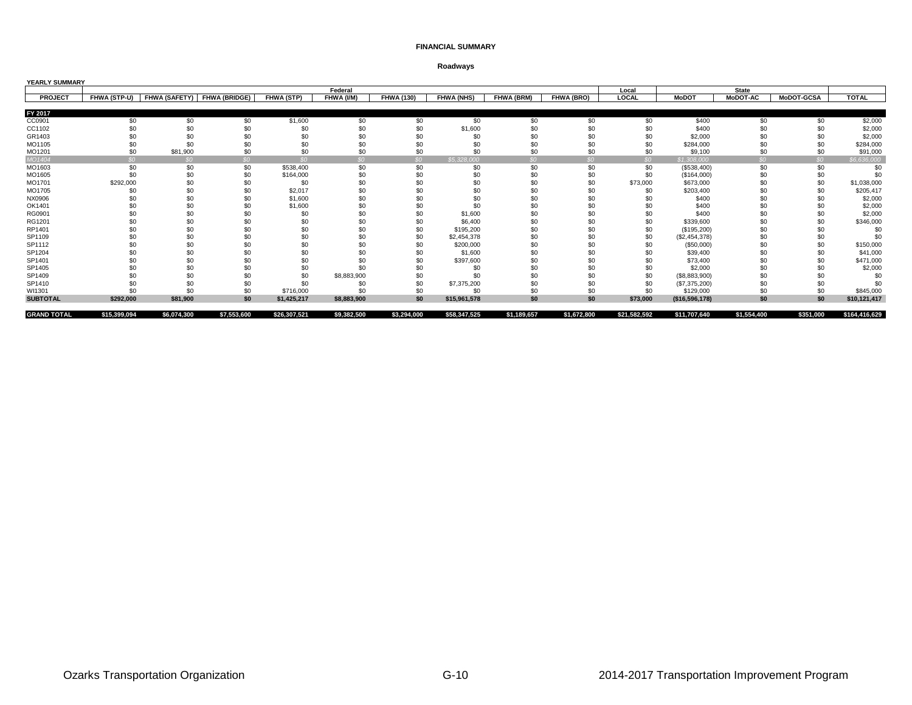| <b>YEARLY SUMMARY</b> |                     |                      |                      |                 |                 |                   |                   |                   |                 |              |                |                 |                   |               |
|-----------------------|---------------------|----------------------|----------------------|-----------------|-----------------|-------------------|-------------------|-------------------|-----------------|--------------|----------------|-----------------|-------------------|---------------|
|                       |                     |                      |                      |                 | Federal         |                   |                   |                   |                 | Local        |                | <b>State</b>    |                   |               |
| <b>PROJECT</b>        | <b>FHWA (STP-U)</b> | <b>FHWA (SAFETY)</b> | <b>FHWA (BRIDGE)</b> | FHWA (STP)      | FHWA (I/M)      | <b>FHWA (130)</b> | <b>FHWA (NHS)</b> | <b>FHWA (BRM)</b> | FHWA (BRO)      | LOCAL        | <b>MoDOT</b>   | <b>MoDOT-AC</b> | <b>MoDOT-GCSA</b> | <b>TOTAL</b>  |
|                       |                     |                      |                      |                 |                 |                   |                   |                   |                 |              |                |                 |                   |               |
| FY 2017               |                     |                      |                      |                 |                 |                   |                   |                   |                 |              |                |                 |                   |               |
| CC0901                | \$0                 | \$0                  | \$0                  | \$1,600         | \$0             | \$0               | \$0               | \$0               | \$0             | \$0          | \$400          | \$0             | \$0               | \$2,000       |
| CC1102                |                     | \$0                  | \$0                  | \$0             | \$0             | \$0               | \$1,600           | \$0               | \$0             | \$0          | \$400          | \$0             | \$ <sub>6</sub>   | \$2,000       |
| GR1403                |                     | \$0                  |                      | \$0             | \$0             | \$0               | \$0               | \$0               | \$C             | \$0          | \$2,000        | \$0             | \$0               | \$2,000       |
| MO1105                |                     | \$0                  |                      | \$C             | \$0             | \$0               | \$0               | \$0               |                 | \$0          | \$284,000      | \$0             | \$ <sub>6</sub>   | \$284,000     |
| MO1201                | \$0                 | \$81,900             | \$0                  | \$0             | \$0             | \$0               | \$0               | \$0               | \$0             | \$0          | \$9,100        | \$0             | \$C               | \$91,000      |
| MO1404                | ደ0.                 | SO <sub>2</sub>      | SO <sub>2</sub>      | SO <sub>2</sub> | SO <sub>2</sub> | SO                | \$5,328,000       | SO                | SO <sub>2</sub> | SO           | \$1,308,000    | SO <sub>2</sub> | SO <sub>2</sub>   | \$6,636,000   |
| MO1603                | \$0                 | \$0                  | \$0                  | \$538,400       | \$0             | \$0               | \$0               | \$0               | \$0             | \$0          | (\$538,400)    | \$0             | \$0               | \$0           |
| MO1605                | \$0                 | \$0                  | \$0                  | \$164,000       | \$0             | \$0               | \$0               | \$0               | \$0             | \$0          | (\$164,000)    | \$0             | \$0               | \$0           |
| MO1701                | \$292,000           | \$0                  | \$0                  | \$0             | \$0             | \$0               | \$0               | \$0               | \$0             | \$73,000     | \$673,000      | \$0             | \$0               | \$1,038,000   |
| MO1705                | \$0                 | \$0                  | \$C                  | \$2,017         | \$0             | \$0               | \$0               | \$0               |                 | \$0          | \$203,400      | \$0             | \$0               | \$205,417     |
| NX0906                |                     | \$0                  | \$C                  | \$1,600         | \$0             | \$0               | \$0               | \$0               | \$0             |              | \$400          | \$0             | \$0               | \$2,000       |
| OK1401                |                     | \$0                  |                      | \$1,600         | \$0             | \$0               | \$0               | \$0               | \$C             |              | \$400          | \$0             |                   | \$2,000       |
| RG0901                |                     | \$0                  |                      | \$0             | \$0             | \$0               | \$1,600           | \$0               | \$0             | \$0          | \$400          | \$0             | \$0               | \$2,000       |
| RG1201                |                     | \$0                  |                      | \$0             | \$0             | \$0               | \$6,400           | \$0               | \$C             | \$0          | \$339,600      | \$0             | \$ <sub>6</sub>   | \$346,000     |
| RP1401                |                     | \$0                  | \$0                  | \$0             | \$0             | \$0               | \$195,200         | \$0               | \$0             | \$0          | (\$195,200)    | \$0             | \$ <sub>6</sub>   | \$0           |
| SP1109                |                     | \$0                  | \$0                  | \$0             | \$0             | \$0               | \$2,454,378       | \$0               | \$0             | \$0          | (\$2,454,378)  | \$0             | \$C               | \$0           |
| SP1112                |                     | \$0                  | \$0                  | \$0             | \$0             | \$0               | \$200,000         | \$0               | \$0             | \$0          | (\$50,000)     | \$0             | \$C               | \$150,000     |
| SP1204                |                     | \$C                  | \$0                  | \$C             | \$0             | \$0               | \$1,600           | \$0               | \$0             | \$0          | \$39,400       | \$0             | \$٢               | \$41,000      |
| SP1401                |                     | \$C                  |                      | \$0             |                 | \$0               | \$397,600         | \$0               |                 |              | \$73,400       | \$O             | \$ſ               | \$471,000     |
| SP1405                |                     | \$0                  |                      | \$0             | \$0             | \$0               | \$0               | \$0               | \$0             | \$0          | \$2,000        | \$0             | \$ <sub>6</sub>   | \$2,000       |
| SP1409                |                     | \$0                  |                      | \$0             | \$8,883,900     | \$0               | \$0               | \$0               | \$C             | \$0          | (\$8,883,900)  | \$0             |                   | \$0           |
| SP1410                |                     | \$0                  | \$0                  | \$0             | \$0             | \$0               | \$7,375,200       | \$0               | \$0             | \$0          | (\$7,375,200)  | \$0             | \$C               | \$ſ           |
| WI1301                | \$0                 | \$0                  | \$0                  | \$716,000       | \$0             | \$0               | \$0               | \$0               | \$0             | \$0          | \$129,000      | \$0             | \$0               | \$845,000     |
| <b>SUBTOTAL</b>       | \$292,000           | \$81,900             | \$0                  | \$1.425.217     | \$8,883,900     | \$0               | \$15,961,578      | \$0               | \$0             | \$73,000     | (\$16,596,178) | \$0             | \$0               | \$10,121,417  |
| <b>GRAND TOTAL</b>    | \$15,399,094        | \$6,074,300          | \$7,553,600          | \$26,307,521    | \$9,382,500     | \$3,294,000       | \$58,347,525      | \$1,189,657       | \$1,672,800     | \$21,582,592 | \$11,707,640   | \$1,554,400     | \$351,000         | \$164,416,629 |